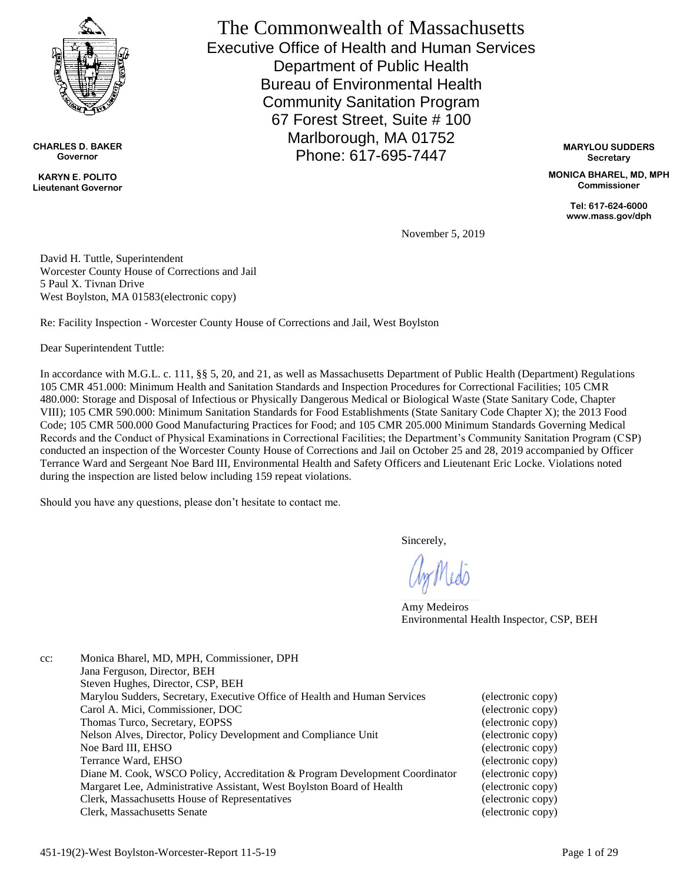

**CHARLES D. BAKER Governor**

**KARYN E. POLITO Lieutenant Governor** 

The Commonwealth of Massachusetts Executive Office of Health and Human Services Department of Public Health Bureau of Environmental Health Community Sanitation Program 67 Forest Street, Suite # 100 Marlborough, MA 01752 Phone: 617-695-7447

**MARYLOU SUDDERS Secretary**

**MONICA BHAREL, MD, MPH Commissioner**

> **Tel: 617-624-6000 www.mass.gov/dph**

November 5, 2019

David H. Tuttle, Superintendent Worcester County House of Corrections and Jail 5 Paul X. Tivnan Drive West Boylston, MA 01583(electronic copy)

Re: Facility Inspection - Worcester County House of Corrections and Jail, West Boylston

Dear Superintendent Tuttle:

In accordance with M.G.L. c. 111, §§ 5, 20, and 21, as well as Massachusetts Department of Public Health (Department) Regulations 105 CMR 451.000: Minimum Health and Sanitation Standards and Inspection Procedures for Correctional Facilities; 105 CMR 480.000: Storage and Disposal of Infectious or Physically Dangerous Medical or Biological Waste (State Sanitary Code, Chapter VIII); 105 CMR 590.000: Minimum Sanitation Standards for Food Establishments (State Sanitary Code Chapter X); the 2013 Food Code; 105 CMR 500.000 Good Manufacturing Practices for Food; and 105 CMR 205.000 Minimum Standards Governing Medical Records and the Conduct of Physical Examinations in Correctional Facilities; the Department's Community Sanitation Program (CSP) conducted an inspection of the Worcester County House of Corrections and Jail on October 25 and 28, 2019 accompanied by Officer Terrance Ward and Sergeant Noe Bard III, Environmental Health and Safety Officers and Lieutenant Eric Locke. Violations noted during the inspection are listed below including 159 repeat violations.

Should you have any questions, please don't hesitate to contact me.

Sincerely,

Amy Medeiros Environmental Health Inspector, CSP, BEH

| $cc$ : | Monica Bharel, MD, MPH, Commissioner, DPH                                   |                   |  |
|--------|-----------------------------------------------------------------------------|-------------------|--|
|        | Jana Ferguson, Director, BEH                                                |                   |  |
|        | Steven Hughes, Director, CSP, BEH                                           |                   |  |
|        | Marylou Sudders, Secretary, Executive Office of Health and Human Services   | (electronic copy) |  |
|        | Carol A. Mici, Commissioner, DOC                                            | (electronic copy) |  |
|        | Thomas Turco, Secretary, EOPSS                                              | (electronic copy) |  |
|        | Nelson Alves, Director, Policy Development and Compliance Unit              | (electronic copy) |  |
|        | Noe Bard III, EHSO                                                          | (electronic copy) |  |
|        | Terrance Ward, EHSO                                                         | (electronic copy) |  |
|        | Diane M. Cook, WSCO Policy, Accreditation & Program Development Coordinator | (electronic copy) |  |
|        | Margaret Lee, Administrative Assistant, West Boylston Board of Health       | (electronic copy) |  |
|        | Clerk, Massachusetts House of Representatives                               | (electronic copy) |  |
|        | Clerk, Massachusetts Senate                                                 | (electronic copy) |  |
|        |                                                                             |                   |  |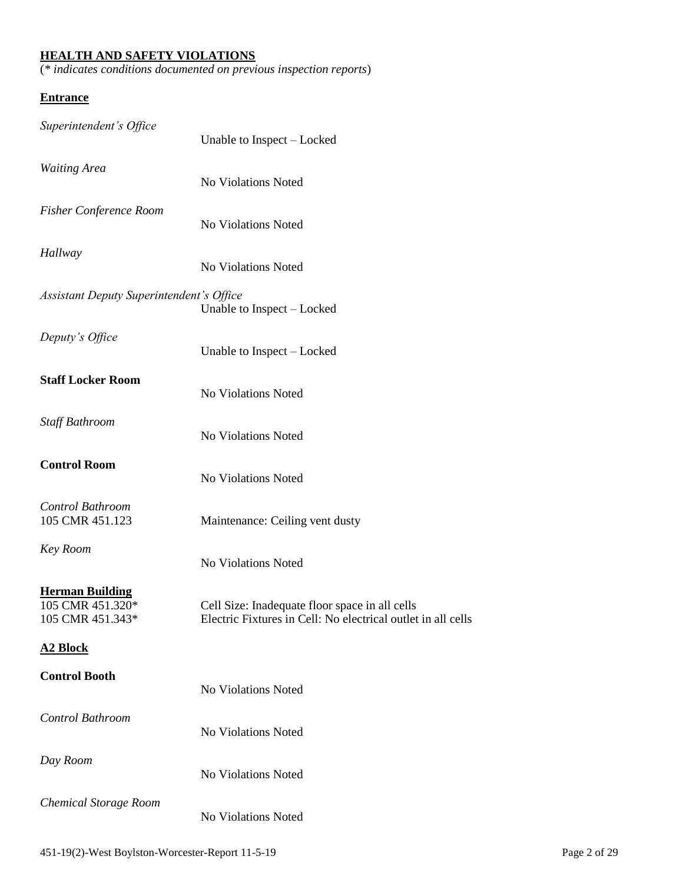# **HEALTH AND SAFETY VIOLATIONS**

(*\* indicates conditions documented on previous inspection reports*)

#### **Entrance**

| Superintendent's Office                                        | Unable to Inspect - Locked                                                                                     |
|----------------------------------------------------------------|----------------------------------------------------------------------------------------------------------------|
| <b>Waiting Area</b>                                            | No Violations Noted                                                                                            |
| <b>Fisher Conference Room</b>                                  | No Violations Noted                                                                                            |
| Hallway                                                        | <b>No Violations Noted</b>                                                                                     |
| <b>Assistant Deputy Superintendent's Office</b>                | Unable to Inspect – Locked                                                                                     |
| Deputy's Office                                                | Unable to Inspect - Locked                                                                                     |
| <b>Staff Locker Room</b>                                       | No Violations Noted                                                                                            |
| Staff Bathroom                                                 | No Violations Noted                                                                                            |
| <b>Control Room</b>                                            | No Violations Noted                                                                                            |
| Control Bathroom<br>105 CMR 451.123                            | Maintenance: Ceiling vent dusty                                                                                |
| Key Room                                                       | No Violations Noted                                                                                            |
| <b>Herman Building</b><br>105 CMR 451.320*<br>105 CMR 451.343* | Cell Size: Inadequate floor space in all cells<br>Electric Fixtures in Cell: No electrical outlet in all cells |
| <b>A2 Block</b>                                                |                                                                                                                |
| <b>Control Booth</b>                                           | No Violations Noted                                                                                            |
| Control Bathroom                                               | No Violations Noted                                                                                            |
| Day Room                                                       | No Violations Noted                                                                                            |
| <b>Chemical Storage Room</b>                                   | No Violations Noted                                                                                            |
|                                                                |                                                                                                                |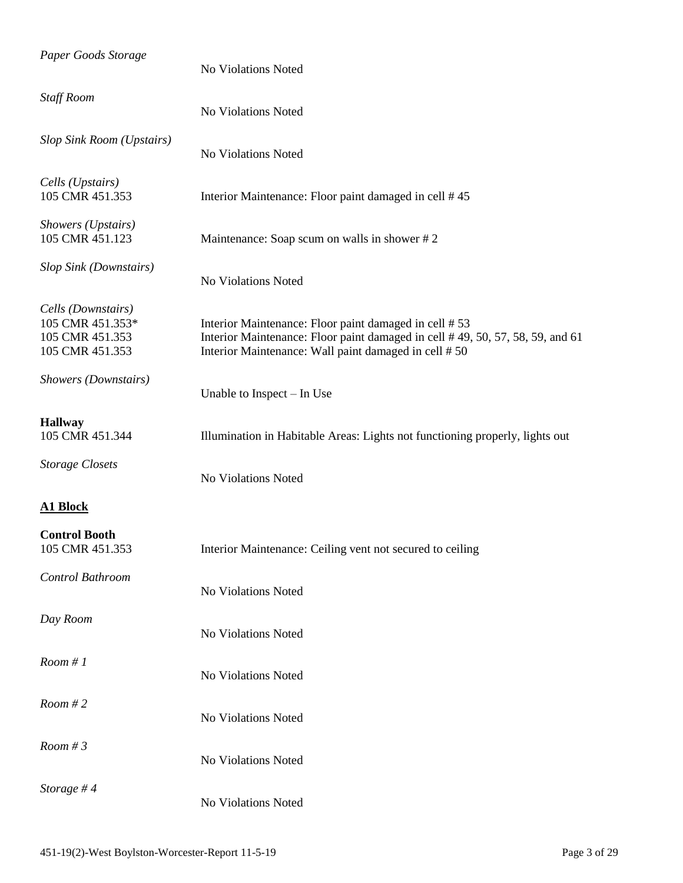| Paper Goods Storage                                                          | No Violations Noted                                                                                                                                                                            |
|------------------------------------------------------------------------------|------------------------------------------------------------------------------------------------------------------------------------------------------------------------------------------------|
| <b>Staff Room</b>                                                            | No Violations Noted                                                                                                                                                                            |
| Slop Sink Room (Upstairs)                                                    | No Violations Noted                                                                                                                                                                            |
| Cells (Upstairs)<br>105 CMR 451.353                                          | Interior Maintenance: Floor paint damaged in cell #45                                                                                                                                          |
| Showers (Upstairs)<br>105 CMR 451.123                                        | Maintenance: Soap scum on walls in shower #2                                                                                                                                                   |
| Slop Sink (Downstairs)                                                       | No Violations Noted                                                                                                                                                                            |
| Cells (Downstairs)<br>105 CMR 451.353*<br>105 CMR 451.353<br>105 CMR 451.353 | Interior Maintenance: Floor paint damaged in cell #53<br>Interior Maintenance: Floor paint damaged in cell #49, 50, 57, 58, 59, and 61<br>Interior Maintenance: Wall paint damaged in cell #50 |
| Showers (Downstairs)                                                         | Unable to Inspect – In Use                                                                                                                                                                     |
| <b>Hallway</b><br>105 CMR 451.344                                            | Illumination in Habitable Areas: Lights not functioning properly, lights out                                                                                                                   |
| <b>Storage Closets</b>                                                       | No Violations Noted                                                                                                                                                                            |
| <b>A1 Block</b>                                                              |                                                                                                                                                                                                |
| <b>Control Booth</b><br>105 CMR 451.353                                      | Interior Maintenance: Ceiling vent not secured to ceiling                                                                                                                                      |
| Control Bathroom                                                             | No Violations Noted                                                                                                                                                                            |
| Day Room                                                                     | No Violations Noted                                                                                                                                                                            |
| Room #1                                                                      | No Violations Noted                                                                                                                                                                            |
| Room #2                                                                      | No Violations Noted                                                                                                                                                                            |
| Room #3                                                                      | No Violations Noted                                                                                                                                                                            |
| Storage #4                                                                   | No Violations Noted                                                                                                                                                                            |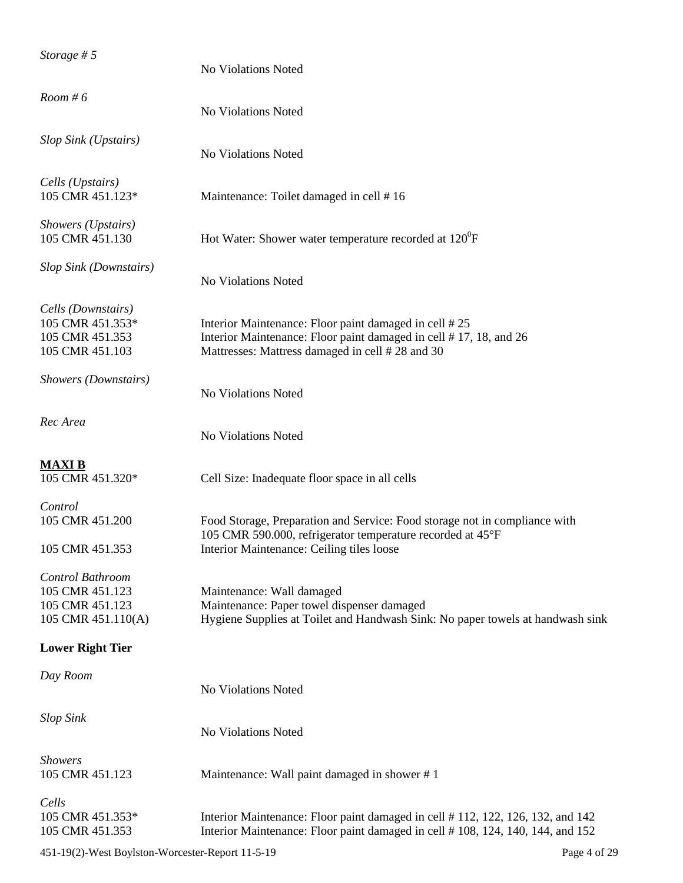| Storage # $5$                                                                | No Violations Noted                                                                                                                                                                   |
|------------------------------------------------------------------------------|---------------------------------------------------------------------------------------------------------------------------------------------------------------------------------------|
| Room #6                                                                      | No Violations Noted                                                                                                                                                                   |
| Slop Sink (Upstairs)                                                         | No Violations Noted                                                                                                                                                                   |
| Cells (Upstairs)<br>105 CMR 451.123*                                         | Maintenance: Toilet damaged in cell #16                                                                                                                                               |
| Showers (Upstairs)<br>105 CMR 451.130                                        | Hot Water: Shower water temperature recorded at 120 <sup>°</sup> F                                                                                                                    |
| Slop Sink (Downstairs)                                                       | No Violations Noted                                                                                                                                                                   |
| Cells (Downstairs)<br>105 CMR 451.353*<br>105 CMR 451.353<br>105 CMR 451.103 | Interior Maintenance: Floor paint damaged in cell #25<br>Interior Maintenance: Floor paint damaged in cell #17, 18, and 26<br>Mattresses: Mattress damaged in cell #28 and 30         |
| Showers (Downstairs)                                                         | No Violations Noted                                                                                                                                                                   |
| Rec Area                                                                     | No Violations Noted                                                                                                                                                                   |
| <b>MAXIB</b><br>105 CMR 451.320*                                             | Cell Size: Inadequate floor space in all cells                                                                                                                                        |
| Control<br>105 CMR 451.200<br>105 CMR 451.353                                | Food Storage, Preparation and Service: Food storage not in compliance with<br>105 CMR 590.000, refrigerator temperature recorded at 45°F<br>Interior Maintenance: Ceiling tiles loose |
| Control Bathroom<br>105 CMR 451.123<br>105 CMR 451.123<br>105 CMR 451.110(A) | Maintenance: Wall damaged<br>Maintenance: Paper towel dispenser damaged<br>Hygiene Supplies at Toilet and Handwash Sink: No paper towels at handwash sink                             |
| <b>Lower Right Tier</b>                                                      |                                                                                                                                                                                       |
| Day Room                                                                     | No Violations Noted                                                                                                                                                                   |
| <b>Slop Sink</b>                                                             | No Violations Noted                                                                                                                                                                   |
| <b>Showers</b><br>105 CMR 451.123                                            | Maintenance: Wall paint damaged in shower #1                                                                                                                                          |
| Cells<br>105 CMR 451.353*<br>105 CMR 451.353                                 | Interior Maintenance: Floor paint damaged in cell #112, 122, 126, 132, and 142<br>Interior Maintenance: Floor paint damaged in cell #108, 124, 140, 144, and 152                      |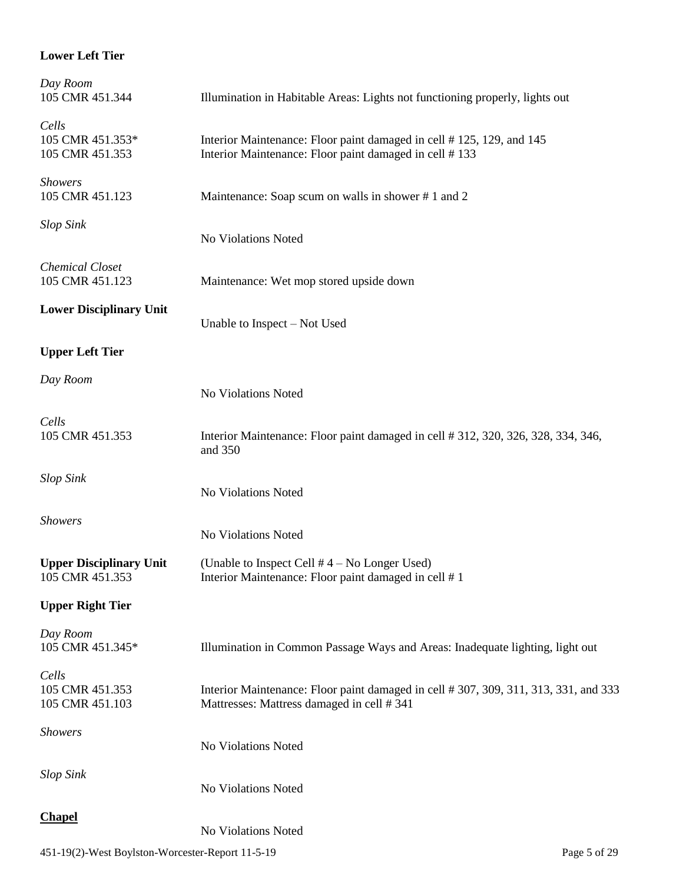### **Lower Left Tier**

| Day Room<br>105 CMR 451.344                       | Illumination in Habitable Areas: Lights not functioning properly, lights out                                                      |
|---------------------------------------------------|-----------------------------------------------------------------------------------------------------------------------------------|
| Cells<br>105 CMR 451.353*<br>105 CMR 451.353      | Interior Maintenance: Floor paint damaged in cell #125, 129, and 145<br>Interior Maintenance: Floor paint damaged in cell #133    |
| <b>Showers</b><br>105 CMR 451.123                 | Maintenance: Soap scum on walls in shower #1 and 2                                                                                |
| <b>Slop Sink</b>                                  | No Violations Noted                                                                                                               |
| <b>Chemical Closet</b><br>105 CMR 451.123         | Maintenance: Wet mop stored upside down                                                                                           |
| <b>Lower Disciplinary Unit</b>                    | Unable to Inspect - Not Used                                                                                                      |
| <b>Upper Left Tier</b>                            |                                                                                                                                   |
| Day Room                                          | No Violations Noted                                                                                                               |
| Cells<br>105 CMR 451.353                          | Interior Maintenance: Floor paint damaged in cell # 312, 320, 326, 328, 334, 346,<br>and 350                                      |
| <b>Slop Sink</b>                                  | No Violations Noted                                                                                                               |
| <b>Showers</b>                                    | No Violations Noted                                                                                                               |
| <b>Upper Disciplinary Unit</b><br>105 CMR 451.353 | (Unable to Inspect Cell $# 4 - No$ Longer Used)<br>Interior Maintenance: Floor paint damaged in cell #1                           |
| <b>Upper Right Tier</b>                           |                                                                                                                                   |
| Day Room<br>105 CMR 451.345*                      | Illumination in Common Passage Ways and Areas: Inadequate lighting, light out                                                     |
| Cells<br>105 CMR 451.353<br>105 CMR 451.103       | Interior Maintenance: Floor paint damaged in cell # 307, 309, 311, 313, 331, and 333<br>Mattresses: Mattress damaged in cell #341 |
| <b>Showers</b>                                    | No Violations Noted                                                                                                               |
| <b>Slop Sink</b>                                  | No Violations Noted                                                                                                               |
| <b>Chapel</b>                                     | No Violations Noted                                                                                                               |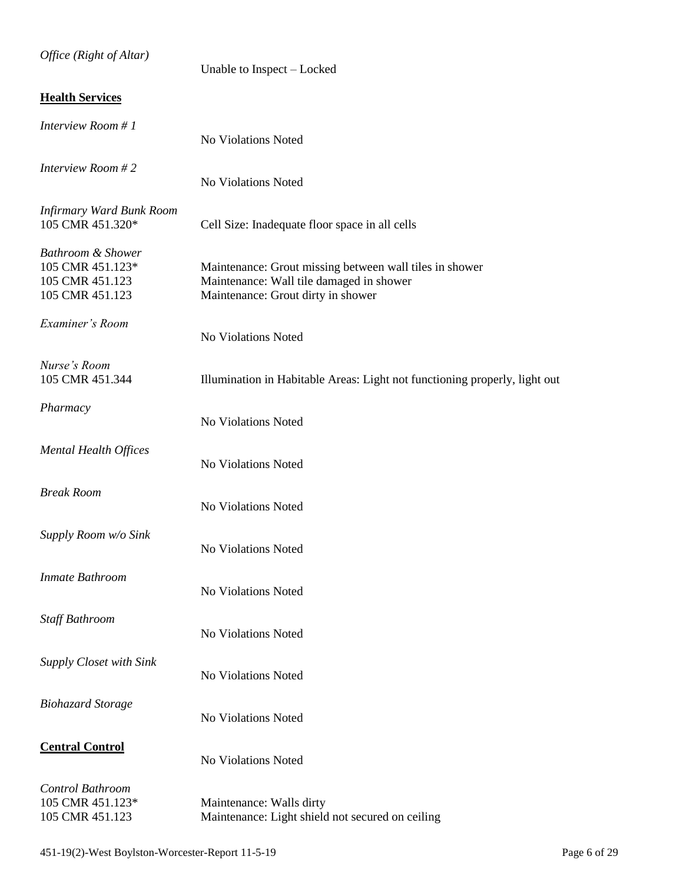| Office (Right of Altar)                                                     | Unable to Inspect – Locked                                                                                                                |
|-----------------------------------------------------------------------------|-------------------------------------------------------------------------------------------------------------------------------------------|
| <b>Health Services</b>                                                      |                                                                                                                                           |
| Interview Room # 1                                                          | No Violations Noted                                                                                                                       |
| Interview Room #2                                                           | No Violations Noted                                                                                                                       |
| <b>Infirmary Ward Bunk Room</b><br>105 CMR 451.320*                         | Cell Size: Inadequate floor space in all cells                                                                                            |
| Bathroom & Shower<br>105 CMR 451.123*<br>105 CMR 451.123<br>105 CMR 451.123 | Maintenance: Grout missing between wall tiles in shower<br>Maintenance: Wall tile damaged in shower<br>Maintenance: Grout dirty in shower |
| Examiner's Room                                                             | No Violations Noted                                                                                                                       |
| Nurse's Room<br>105 CMR 451.344                                             | Illumination in Habitable Areas: Light not functioning properly, light out                                                                |
| Pharmacy                                                                    | No Violations Noted                                                                                                                       |
| <b>Mental Health Offices</b>                                                | No Violations Noted                                                                                                                       |
| <b>Break Room</b>                                                           | No Violations Noted                                                                                                                       |
| Supply Room w/o Sink                                                        | No Violations Noted                                                                                                                       |
| Inmate Bathroom                                                             | No Violations Noted                                                                                                                       |
| Staff Bathroom                                                              | No Violations Noted                                                                                                                       |
| Supply Closet with Sink                                                     | No Violations Noted                                                                                                                       |
| <b>Biohazard Storage</b>                                                    | No Violations Noted                                                                                                                       |
| <b>Central Control</b>                                                      | <b>No Violations Noted</b>                                                                                                                |
| Control Bathroom<br>105 CMR 451.123*<br>105 CMR 451.123                     | Maintenance: Walls dirty<br>Maintenance: Light shield not secured on ceiling                                                              |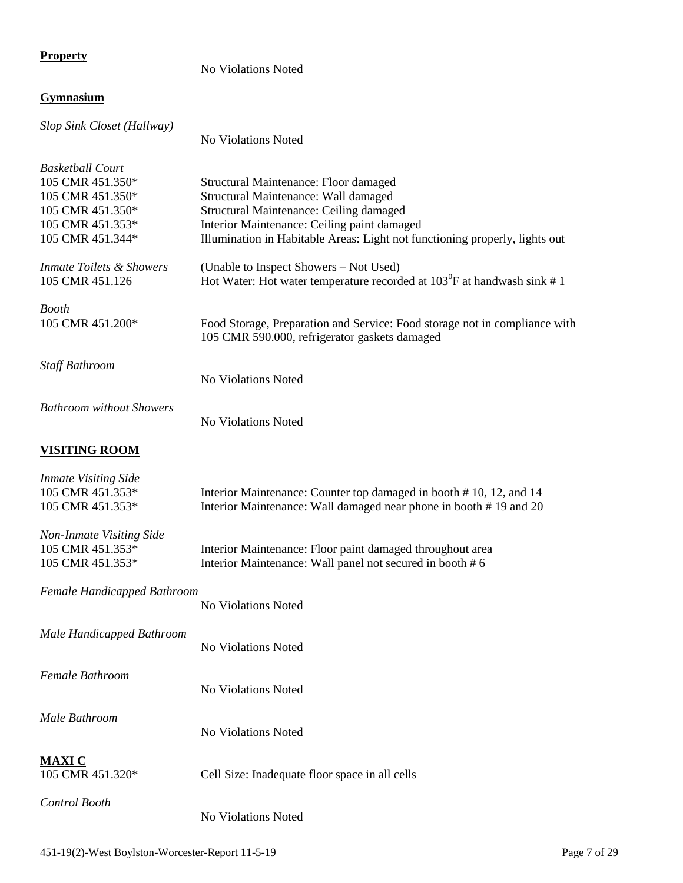### **Property**

#### No Violations Noted

# **Gymnasium**

*Slop Sink Closet (Hallway)*

| <b>No Violations Noted</b> |  |
|----------------------------|--|
|                            |  |

| <b>Basketball Court</b><br>105 CMR 451.350*<br>105 CMR 451.350*<br>105 CMR 451.350*<br>105 CMR 451.353*<br>105 CMR 451.344* | Structural Maintenance: Floor damaged<br>Structural Maintenance: Wall damaged<br>Structural Maintenance: Ceiling damaged<br>Interior Maintenance: Ceiling paint damaged<br>Illumination in Habitable Areas: Light not functioning properly, lights out |
|-----------------------------------------------------------------------------------------------------------------------------|--------------------------------------------------------------------------------------------------------------------------------------------------------------------------------------------------------------------------------------------------------|
| <b>Inmate Toilets &amp; Showers</b><br>105 CMR 451.126                                                                      | (Unable to Inspect Showers - Not Used)<br>Hot Water: Hot water temperature recorded at $103^{\circ}$ F at handwash sink # 1                                                                                                                            |
| <b>Booth</b><br>105 CMR 451.200*                                                                                            | Food Storage, Preparation and Service: Food storage not in compliance with<br>105 CMR 590.000, refrigerator gaskets damaged                                                                                                                            |
| <b>Staff Bathroom</b>                                                                                                       | No Violations Noted                                                                                                                                                                                                                                    |
| <b>Bathroom without Showers</b>                                                                                             | <b>No Violations Noted</b>                                                                                                                                                                                                                             |
| <b>VISITING ROOM</b>                                                                                                        |                                                                                                                                                                                                                                                        |
| <b>Inmate Visiting Side</b><br>105 CMR 451.353*<br>105 CMR 451.353*                                                         | Interior Maintenance: Counter top damaged in booth #10, 12, and 14<br>Interior Maintenance: Wall damaged near phone in booth #19 and 20                                                                                                                |
| <b>Non-Inmate Visiting Side</b><br>105 CMR 451.353*<br>105 CMR 451.353*                                                     | Interior Maintenance: Floor paint damaged throughout area<br>Interior Maintenance: Wall panel not secured in booth #6                                                                                                                                  |
| Female Handicapped Bathroom                                                                                                 | <b>No Violations Noted</b>                                                                                                                                                                                                                             |
| Male Handicapped Bathroom                                                                                                   | No Violations Noted                                                                                                                                                                                                                                    |
| Female Bathroom                                                                                                             | No Violations Noted                                                                                                                                                                                                                                    |
| Male Bathroom                                                                                                               | No Violations Noted                                                                                                                                                                                                                                    |
| <b>MAXI C</b><br>105 CMR 451.320*                                                                                           | Cell Size: Inadequate floor space in all cells                                                                                                                                                                                                         |
| Control Booth                                                                                                               | No Violations Noted                                                                                                                                                                                                                                    |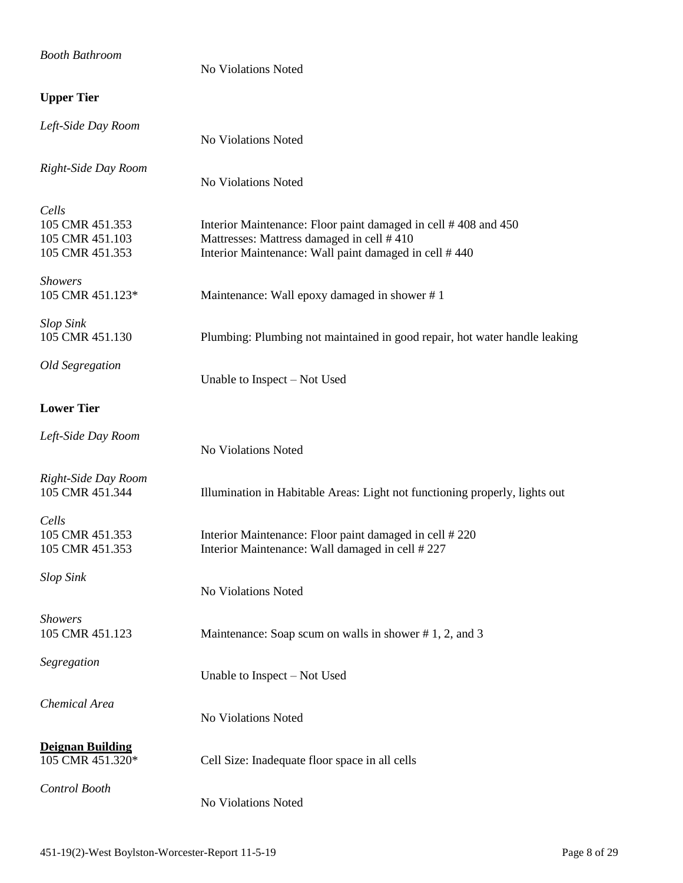| <b>Booth Bathroom</b>                                          | No Violations Noted                                                                                                                                                  |
|----------------------------------------------------------------|----------------------------------------------------------------------------------------------------------------------------------------------------------------------|
| <b>Upper Tier</b>                                              |                                                                                                                                                                      |
| Left-Side Day Room                                             | No Violations Noted                                                                                                                                                  |
| Right-Side Day Room                                            | No Violations Noted                                                                                                                                                  |
| Cells<br>105 CMR 451.353<br>105 CMR 451.103<br>105 CMR 451.353 | Interior Maintenance: Floor paint damaged in cell #408 and 450<br>Mattresses: Mattress damaged in cell #410<br>Interior Maintenance: Wall paint damaged in cell #440 |
| <b>Showers</b><br>105 CMR 451.123*                             | Maintenance: Wall epoxy damaged in shower #1                                                                                                                         |
| <b>Slop Sink</b><br>105 CMR 451.130                            | Plumbing: Plumbing not maintained in good repair, hot water handle leaking                                                                                           |
| <b>Old Segregation</b>                                         | Unable to Inspect – Not Used                                                                                                                                         |
| <b>Lower Tier</b>                                              |                                                                                                                                                                      |
| Left-Side Day Room                                             | No Violations Noted                                                                                                                                                  |
| Right-Side Day Room<br>105 CMR 451.344                         | Illumination in Habitable Areas: Light not functioning properly, lights out                                                                                          |
| Cells<br>105 CMR 451.353<br>105 CMR 451.353                    | Interior Maintenance: Floor paint damaged in cell #220<br>Interior Maintenance: Wall damaged in cell #227                                                            |
| <b>Slop Sink</b>                                               | No Violations Noted                                                                                                                                                  |
| <b>Showers</b><br>105 CMR 451.123                              | Maintenance: Soap scum on walls in shower #1, 2, and 3                                                                                                               |
| Segregation                                                    | Unable to Inspect - Not Used                                                                                                                                         |
| Chemical Area                                                  | No Violations Noted                                                                                                                                                  |
| <b>Deignan Building</b><br>105 CMR 451.320*                    | Cell Size: Inadequate floor space in all cells                                                                                                                       |
| Control Booth                                                  | No Violations Noted                                                                                                                                                  |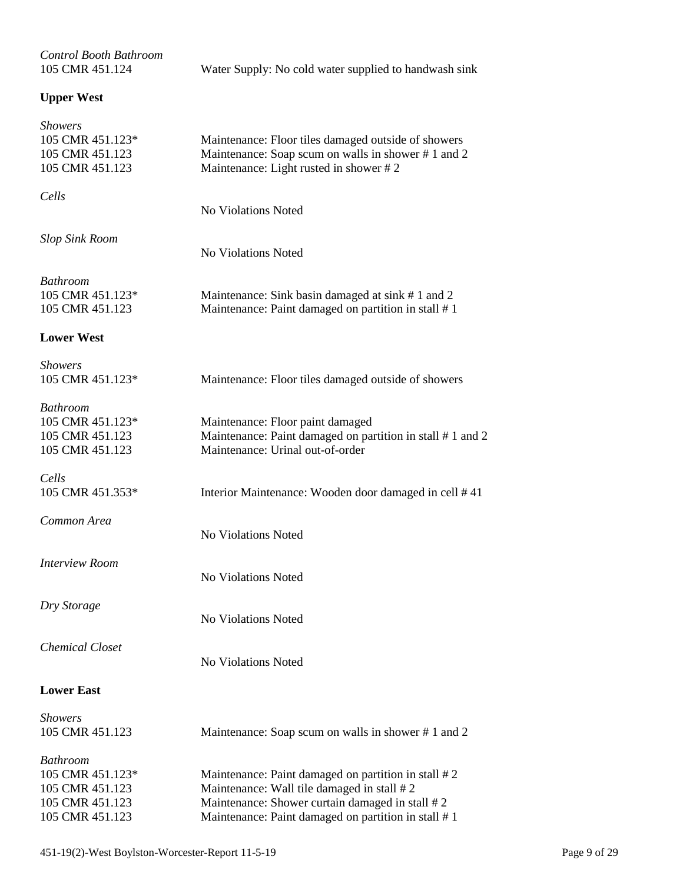| Control Booth Bathroom<br>105 CMR 451.124                                                    | Water Supply: No cold water supplied to handwash sink                                                                                                                                                          |
|----------------------------------------------------------------------------------------------|----------------------------------------------------------------------------------------------------------------------------------------------------------------------------------------------------------------|
| <b>Upper West</b>                                                                            |                                                                                                                                                                                                                |
| <b>Showers</b><br>105 CMR 451.123*<br>105 CMR 451.123<br>105 CMR 451.123                     | Maintenance: Floor tiles damaged outside of showers<br>Maintenance: Soap scum on walls in shower #1 and 2<br>Maintenance: Light rusted in shower #2                                                            |
| Cells                                                                                        | <b>No Violations Noted</b>                                                                                                                                                                                     |
| <b>Slop Sink Room</b>                                                                        | <b>No Violations Noted</b>                                                                                                                                                                                     |
| <b>Bathroom</b><br>105 CMR 451.123*<br>105 CMR 451.123                                       | Maintenance: Sink basin damaged at sink #1 and 2<br>Maintenance: Paint damaged on partition in stall #1                                                                                                        |
| <b>Lower West</b>                                                                            |                                                                                                                                                                                                                |
| <b>Showers</b><br>105 CMR 451.123*                                                           | Maintenance: Floor tiles damaged outside of showers                                                                                                                                                            |
| <b>Bathroom</b><br>105 CMR 451.123*<br>105 CMR 451.123<br>105 CMR 451.123                    | Maintenance: Floor paint damaged<br>Maintenance: Paint damaged on partition in stall #1 and 2<br>Maintenance: Urinal out-of-order                                                                              |
| Cells<br>105 CMR 451.353*                                                                    | Interior Maintenance: Wooden door damaged in cell #41                                                                                                                                                          |
| Common Area                                                                                  | <b>No Violations Noted</b>                                                                                                                                                                                     |
| <b>Interview Room</b>                                                                        | <b>No Violations Noted</b>                                                                                                                                                                                     |
| Dry Storage                                                                                  | <b>No Violations Noted</b>                                                                                                                                                                                     |
| <b>Chemical Closet</b>                                                                       | <b>No Violations Noted</b>                                                                                                                                                                                     |
| <b>Lower East</b>                                                                            |                                                                                                                                                                                                                |
| <b>Showers</b><br>105 CMR 451.123                                                            | Maintenance: Soap scum on walls in shower #1 and 2                                                                                                                                                             |
| <b>Bathroom</b><br>105 CMR 451.123*<br>105 CMR 451.123<br>105 CMR 451.123<br>105 CMR 451.123 | Maintenance: Paint damaged on partition in stall $# 2$<br>Maintenance: Wall tile damaged in stall #2<br>Maintenance: Shower curtain damaged in stall #2<br>Maintenance: Paint damaged on partition in stall #1 |
|                                                                                              |                                                                                                                                                                                                                |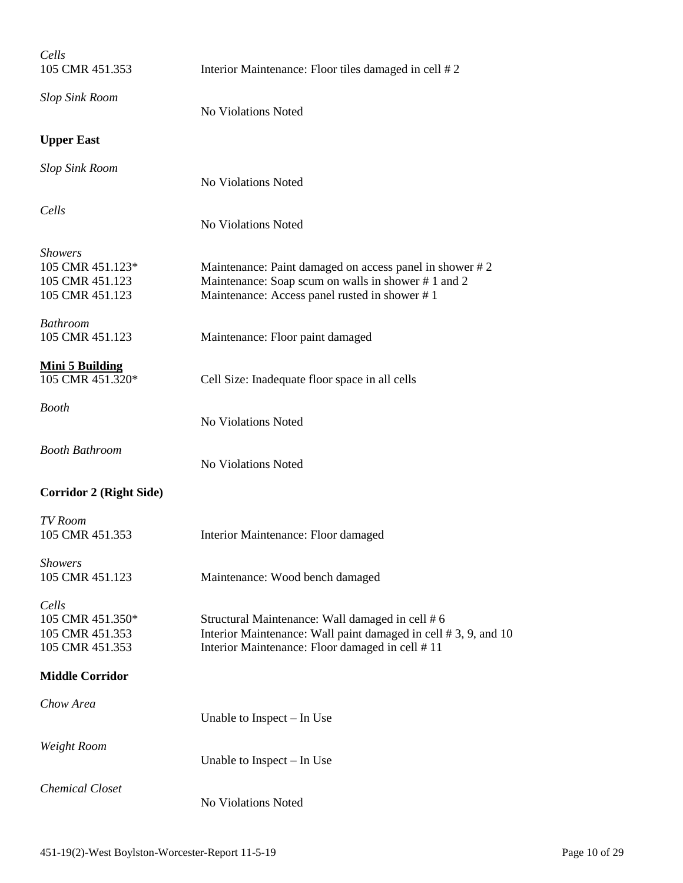| Cells<br>105 CMR 451.353                                                 | Interior Maintenance: Floor tiles damaged in cell #2                                                                                                                 |
|--------------------------------------------------------------------------|----------------------------------------------------------------------------------------------------------------------------------------------------------------------|
| <b>Slop Sink Room</b>                                                    | No Violations Noted                                                                                                                                                  |
| <b>Upper East</b>                                                        |                                                                                                                                                                      |
| <b>Slop Sink Room</b>                                                    | <b>No Violations Noted</b>                                                                                                                                           |
| Cells                                                                    | <b>No Violations Noted</b>                                                                                                                                           |
| <b>Showers</b><br>105 CMR 451.123*<br>105 CMR 451.123<br>105 CMR 451.123 | Maintenance: Paint damaged on access panel in shower #2<br>Maintenance: Soap scum on walls in shower #1 and 2<br>Maintenance: Access panel rusted in shower #1       |
| <b>Bathroom</b><br>105 CMR 451.123                                       | Maintenance: Floor paint damaged                                                                                                                                     |
| <b>Mini 5 Building</b><br>105 CMR 451.320*                               | Cell Size: Inadequate floor space in all cells                                                                                                                       |
| <b>Booth</b>                                                             | No Violations Noted                                                                                                                                                  |
| <b>Booth Bathroom</b>                                                    | <b>No Violations Noted</b>                                                                                                                                           |
| <b>Corridor 2 (Right Side)</b>                                           |                                                                                                                                                                      |
| TV Room<br>105 CMR 451.353                                               | Interior Maintenance: Floor damaged                                                                                                                                  |
| <b>Showers</b><br>105 CMR 451.123                                        | Maintenance: Wood bench damaged                                                                                                                                      |
| Cells<br>105 CMR 451.350*<br>105 CMR 451.353<br>105 CMR 451.353          | Structural Maintenance: Wall damaged in cell #6<br>Interior Maintenance: Wall paint damaged in cell #3, 9, and 10<br>Interior Maintenance: Floor damaged in cell #11 |
| <b>Middle Corridor</b>                                                   |                                                                                                                                                                      |
| Chow Area                                                                | Unable to Inspect – In Use                                                                                                                                           |
| Weight Room                                                              | Unable to Inspect – In Use                                                                                                                                           |
| <b>Chemical Closet</b>                                                   | No Violations Noted                                                                                                                                                  |
|                                                                          |                                                                                                                                                                      |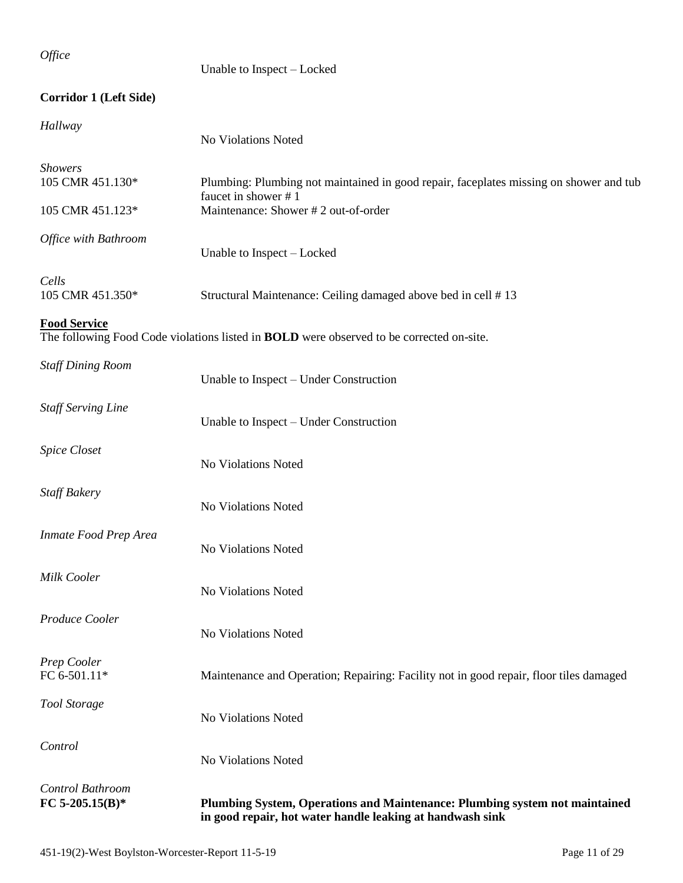| Office                                          | Unable to Inspect - Locked                                                                                    |
|-------------------------------------------------|---------------------------------------------------------------------------------------------------------------|
| <b>Corridor 1 (Left Side)</b>                   |                                                                                                               |
| Hallway                                         | No Violations Noted                                                                                           |
| <b>Showers</b><br>105 CMR 451.130*              | Plumbing: Plumbing not maintained in good repair, faceplates missing on shower and tub<br>faucet in shower #1 |
| 105 CMR 451.123*<br><b>Office with Bathroom</b> | Maintenance: Shower #2 out-of-order<br>Unable to Inspect - Locked                                             |
| Cells<br>105 CMR 451.350*                       | Structural Maintenance: Ceiling damaged above bed in cell #13                                                 |
| <b>Food Service</b>                             | The following Food Code violations listed in <b>BOLD</b> were observed to be corrected on-site.               |
| <b>Staff Dining Room</b>                        | Unable to Inspect – Under Construction                                                                        |
| <b>Staff Serving Line</b>                       | Unable to Inspect – Under Construction                                                                        |
| Spice Closet                                    | No Violations Noted                                                                                           |
| <b>Staff Bakery</b>                             | No Violations Noted                                                                                           |
| Inmate Food Prep Area                           | No Violations Noted                                                                                           |
| Milk Cooler                                     | No Violations Noted                                                                                           |
| Produce Cooler                                  | No Violations Noted                                                                                           |
| Prep Cooler<br>FC 6-501.11*                     | Maintenance and Operation; Repairing: Facility not in good repair, floor tiles damaged                        |
| <b>Tool Storage</b>                             | No Violations Noted                                                                                           |
| Control                                         | No Violations Noted                                                                                           |
| Control Bathroom<br>FC 5-205.15(B)*             | Plumbing System, Operations and Maintenance: Plumbing system not maintained                                   |

**in good repair, hot water handle leaking at handwash sink**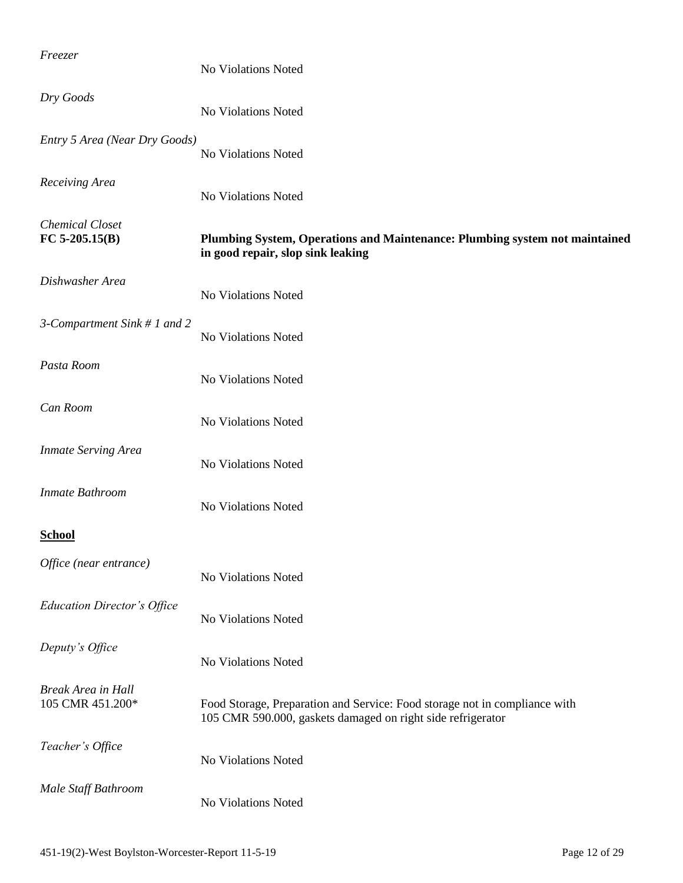| Freezer                                       | No Violations Noted                                                                                                                       |
|-----------------------------------------------|-------------------------------------------------------------------------------------------------------------------------------------------|
| Dry Goods                                     | No Violations Noted                                                                                                                       |
| Entry 5 Area (Near Dry Goods)                 | No Violations Noted                                                                                                                       |
| Receiving Area                                | No Violations Noted                                                                                                                       |
| <b>Chemical Closet</b><br>$FC 5-205.15(B)$    | Plumbing System, Operations and Maintenance: Plumbing system not maintained<br>in good repair, slop sink leaking                          |
| Dishwasher Area                               | No Violations Noted                                                                                                                       |
| 3-Compartment Sink $# 1$ and 2                | No Violations Noted                                                                                                                       |
| Pasta Room                                    | No Violations Noted                                                                                                                       |
| Can Room                                      | No Violations Noted                                                                                                                       |
| <b>Inmate Serving Area</b>                    | No Violations Noted                                                                                                                       |
| Inmate Bathroom                               | No Violations Noted                                                                                                                       |
| <b>School</b>                                 |                                                                                                                                           |
| Office (near entrance)                        | No Violations Noted                                                                                                                       |
| <b>Education Director's Office</b>            | No Violations Noted                                                                                                                       |
| Deputy's Office                               | No Violations Noted                                                                                                                       |
| <b>Break Area in Hall</b><br>105 CMR 451.200* | Food Storage, Preparation and Service: Food storage not in compliance with<br>105 CMR 590.000, gaskets damaged on right side refrigerator |
| Teacher's Office                              | No Violations Noted                                                                                                                       |
| Male Staff Bathroom                           | No Violations Noted                                                                                                                       |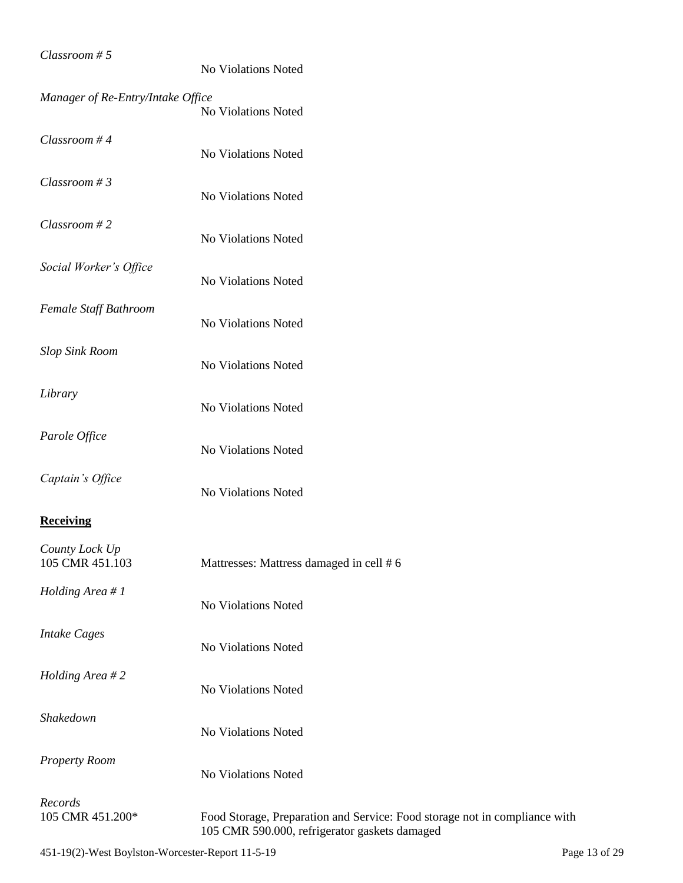| Classroom $# 5$                   | No Violations Noted                                                                                                         |
|-----------------------------------|-----------------------------------------------------------------------------------------------------------------------------|
| Manager of Re-Entry/Intake Office | No Violations Noted                                                                                                         |
| Classroom #4                      | No Violations Noted                                                                                                         |
| Classroom # $3$                   | No Violations Noted                                                                                                         |
| Classroom $#2$                    | No Violations Noted                                                                                                         |
| Social Worker's Office            | No Violations Noted                                                                                                         |
| Female Staff Bathroom             | No Violations Noted                                                                                                         |
| <b>Slop Sink Room</b>             | No Violations Noted                                                                                                         |
| Library                           | No Violations Noted                                                                                                         |
| Parole Office                     | No Violations Noted                                                                                                         |
| Captain's Office                  | No Violations Noted                                                                                                         |
| <b>Receiving</b>                  |                                                                                                                             |
| County Lock Up<br>105 CMR 451.103 | Mattresses: Mattress damaged in cell #6                                                                                     |
| Holding Area # 1                  | No Violations Noted                                                                                                         |
| <b>Intake Cages</b>               | No Violations Noted                                                                                                         |
| Holding Area #2                   | No Violations Noted                                                                                                         |
| Shakedown                         | No Violations Noted                                                                                                         |
| <b>Property Room</b>              | No Violations Noted                                                                                                         |
| Records<br>105 CMR 451.200*       | Food Storage, Preparation and Service: Food storage not in compliance with<br>105 CMR 590.000, refrigerator gaskets damaged |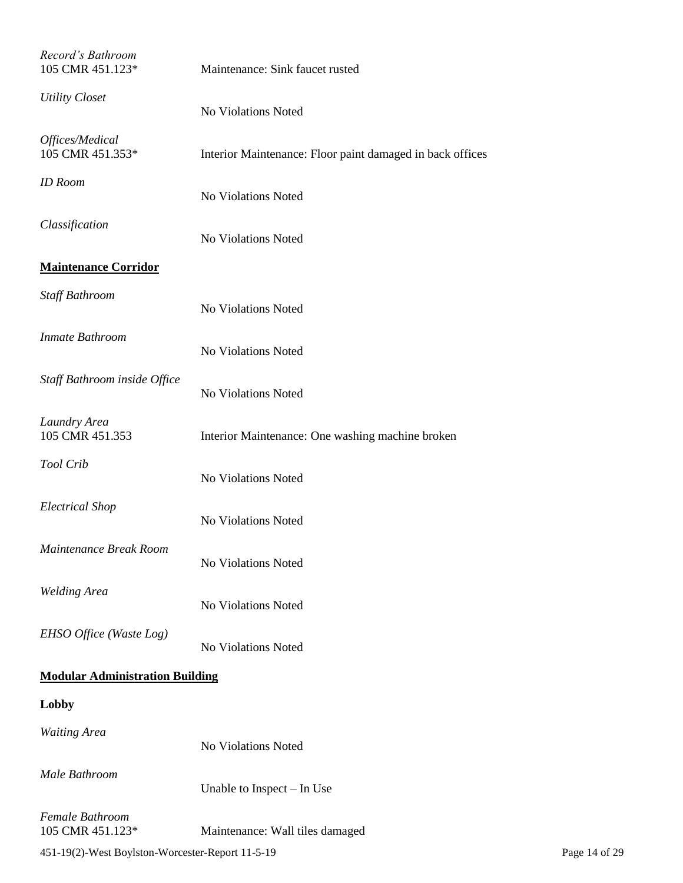| Record's Bathroom<br>105 CMR 451.123*            | Maintenance: Sink faucet rusted                           |
|--------------------------------------------------|-----------------------------------------------------------|
| <b>Utility Closet</b>                            | No Violations Noted                                       |
| Offices/Medical<br>105 CMR 451.353*              | Interior Maintenance: Floor paint damaged in back offices |
| <b>ID</b> Room                                   | <b>No Violations Noted</b>                                |
| Classification                                   | <b>No Violations Noted</b>                                |
| <b>Maintenance Corridor</b>                      |                                                           |
| <b>Staff Bathroom</b>                            | <b>No Violations Noted</b>                                |
| Inmate Bathroom                                  | No Violations Noted                                       |
| Staff Bathroom inside Office                     | <b>No Violations Noted</b>                                |
| Laundry Area<br>105 CMR 451.353                  | Interior Maintenance: One washing machine broken          |
| Tool Crib                                        | <b>No Violations Noted</b>                                |
| <b>Electrical Shop</b>                           | <b>No Violations Noted</b>                                |
| Maintenance Break Room                           | No Violations Noted                                       |
| <b>Welding Area</b>                              | No Violations Noted                                       |
| EHSO Office (Waste Log)                          | No Violations Noted                                       |
| <b>Modular Administration Building</b>           |                                                           |
| Lobby                                            |                                                           |
| <b>Waiting Area</b>                              | No Violations Noted                                       |
| Male Bathroom                                    | Unable to Inspect – In Use                                |
| Female Bathroom<br>105 CMR 451.123*              | Maintenance: Wall tiles damaged                           |
| 451-19(2)-West Boylston-Worcester-Report 11-5-19 |                                                           |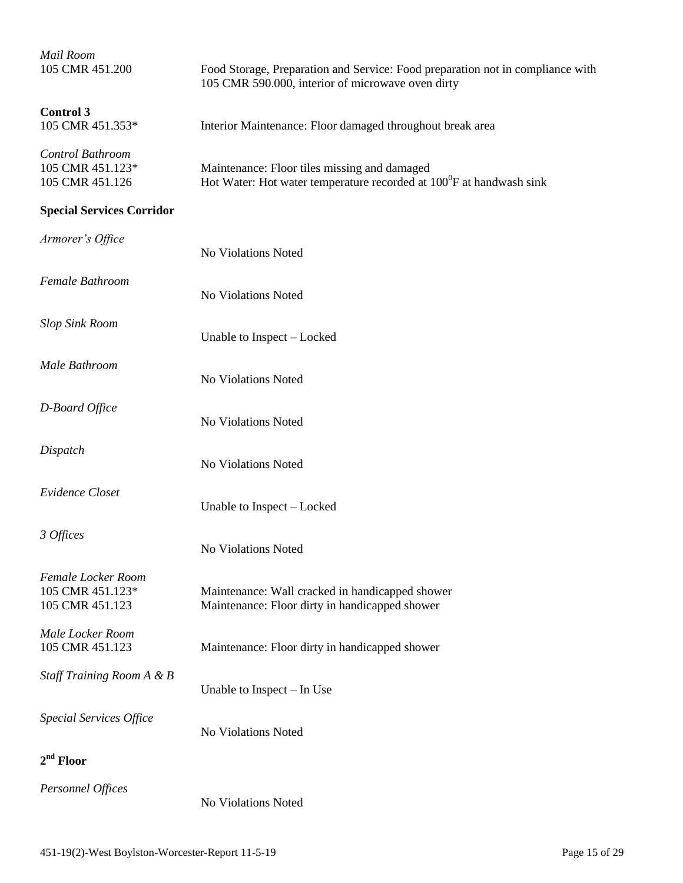| Mail Room<br>105 CMR 451.200                              | Food Storage, Preparation and Service: Food preparation not in compliance with<br>105 CMR 590.000, interior of microwave oven dirty |
|-----------------------------------------------------------|-------------------------------------------------------------------------------------------------------------------------------------|
| <b>Control 3</b><br>105 CMR 451.353*                      | Interior Maintenance: Floor damaged throughout break area                                                                           |
| Control Bathroom<br>105 CMR 451.123*<br>105 CMR 451.126   | Maintenance: Floor tiles missing and damaged<br>Hot Water: Hot water temperature recorded at $100^{\circ}$ F at handwash sink       |
| <b>Special Services Corridor</b>                          |                                                                                                                                     |
| Armorer's Office                                          | <b>No Violations Noted</b>                                                                                                          |
| Female Bathroom                                           | <b>No Violations Noted</b>                                                                                                          |
| <b>Slop Sink Room</b>                                     | Unable to Inspect – Locked                                                                                                          |
| Male Bathroom                                             | No Violations Noted                                                                                                                 |
| D-Board Office                                            | No Violations Noted                                                                                                                 |
| Dispatch                                                  | No Violations Noted                                                                                                                 |
| Evidence Closet                                           | Unable to Inspect - Locked                                                                                                          |
| 3 Offices                                                 | No Violations Noted                                                                                                                 |
| Female Locker Room<br>105 CMR 451.123*<br>105 CMR 451.123 | Maintenance: Wall cracked in handicapped shower<br>Maintenance: Floor dirty in handicapped shower                                   |
| Male Locker Room<br>105 CMR 451.123                       | Maintenance: Floor dirty in handicapped shower                                                                                      |
| Staff Training Room A & B                                 | Unable to Inspect $-$ In Use                                                                                                        |

*Special Services Office*

**2 nd Floor**

*Personnel Offices* 

No Violations Noted

No Violations Noted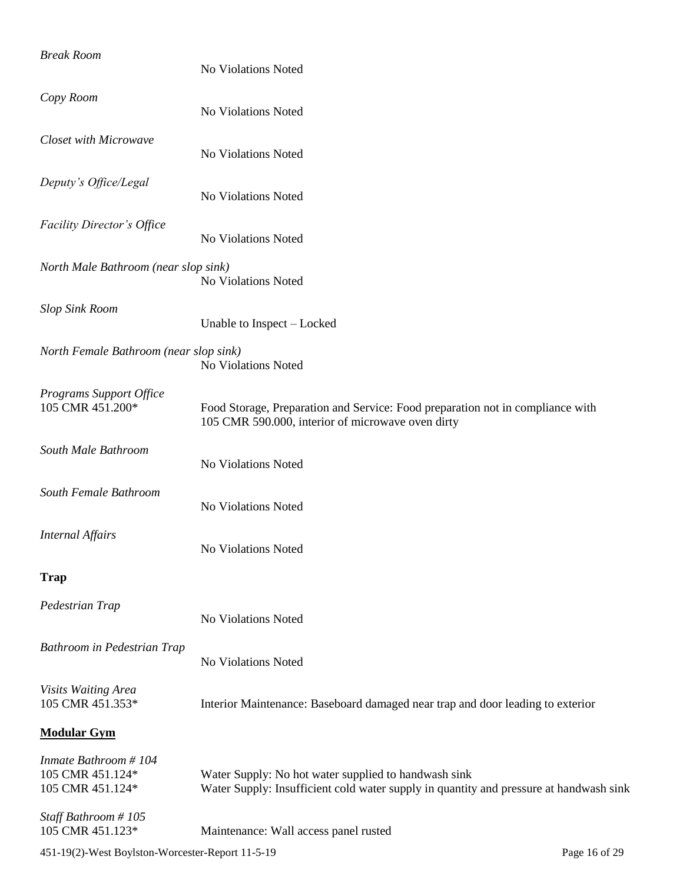| <b>Break Room</b>                                            | No Violations Noted                                                                                                                            |
|--------------------------------------------------------------|------------------------------------------------------------------------------------------------------------------------------------------------|
| Copy Room                                                    | No Violations Noted                                                                                                                            |
| <b>Closet with Microwave</b>                                 | No Violations Noted                                                                                                                            |
| Deputy's Office/Legal                                        | No Violations Noted                                                                                                                            |
| <b>Facility Director's Office</b>                            | No Violations Noted                                                                                                                            |
| North Male Bathroom (near slop sink)                         | No Violations Noted                                                                                                                            |
| <b>Slop Sink Room</b>                                        | Unable to Inspect – Locked                                                                                                                     |
| North Female Bathroom (near slop sink)                       | No Violations Noted                                                                                                                            |
| Programs Support Office<br>105 CMR 451.200*                  | Food Storage, Preparation and Service: Food preparation not in compliance with<br>105 CMR 590.000, interior of microwave oven dirty            |
| South Male Bathroom                                          | No Violations Noted                                                                                                                            |
| South Female Bathroom                                        | No Violations Noted                                                                                                                            |
| <b>Internal Affairs</b>                                      | No Violations Noted                                                                                                                            |
| <b>Trap</b>                                                  |                                                                                                                                                |
| Pedestrian Trap                                              | No Violations Noted                                                                                                                            |
| Bathroom in Pedestrian Trap                                  | No Violations Noted                                                                                                                            |
| <b>Visits Waiting Area</b><br>105 CMR 451.353*               | Interior Maintenance: Baseboard damaged near trap and door leading to exterior                                                                 |
| <b>Modular Gym</b>                                           |                                                                                                                                                |
| Inmate Bathroom #104<br>105 CMR 451.124*<br>105 CMR 451.124* | Water Supply: No hot water supplied to handwash sink<br>Water Supply: Insufficient cold water supply in quantity and pressure at handwash sink |
| Staff Bathroom #105<br>105 CMR 451.123*                      | Maintenance: Wall access panel rusted                                                                                                          |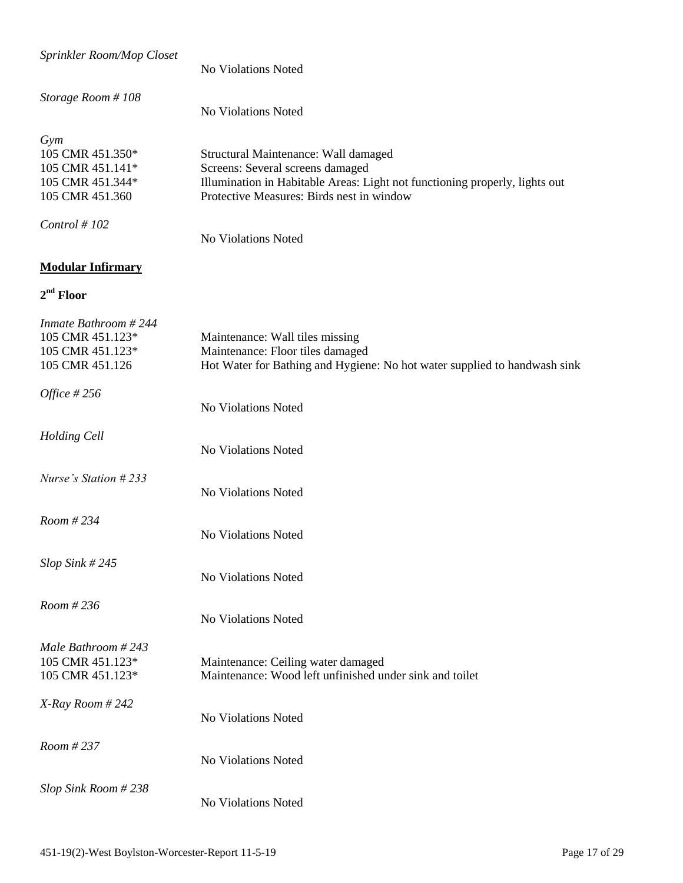| Sprinkler Room/Mop Closet                                                          | <b>No Violations Noted</b>                                                                                                                                                                           |
|------------------------------------------------------------------------------------|------------------------------------------------------------------------------------------------------------------------------------------------------------------------------------------------------|
| Storage Room #108                                                                  | No Violations Noted                                                                                                                                                                                  |
| Gym<br>105 CMR 451.350*<br>105 CMR 451.141*<br>105 CMR 451.344*<br>105 CMR 451.360 | Structural Maintenance: Wall damaged<br>Screens: Several screens damaged<br>Illumination in Habitable Areas: Light not functioning properly, lights out<br>Protective Measures: Birds nest in window |
| Control #102                                                                       | No Violations Noted                                                                                                                                                                                  |
| <b>Modular Infirmary</b>                                                           |                                                                                                                                                                                                      |
| $2nd$ Floor                                                                        |                                                                                                                                                                                                      |
| Inmate Bathroom #244<br>105 CMR 451.123*<br>105 CMR 451.123*<br>105 CMR 451.126    | Maintenance: Wall tiles missing<br>Maintenance: Floor tiles damaged<br>Hot Water for Bathing and Hygiene: No hot water supplied to handwash sink                                                     |
| Office $\#256$                                                                     | No Violations Noted                                                                                                                                                                                  |
| <b>Holding Cell</b>                                                                | No Violations Noted                                                                                                                                                                                  |
| Nurse's Station $#233$                                                             | No Violations Noted                                                                                                                                                                                  |
| Room #234                                                                          | No Violations Noted                                                                                                                                                                                  |
| $Slop$ Sink # 245                                                                  | No Violations Noted                                                                                                                                                                                  |
| Room #236                                                                          | No Violations Noted                                                                                                                                                                                  |
| Male Bathroom #243<br>105 CMR 451.123*<br>105 CMR 451.123*                         | Maintenance: Ceiling water damaged<br>Maintenance: Wood left unfinished under sink and toilet                                                                                                        |
| $X$ -Ray Room # 242                                                                | No Violations Noted                                                                                                                                                                                  |
| Room # 237                                                                         | No Violations Noted                                                                                                                                                                                  |
| Slop Sink Room #238                                                                | No Violations Noted                                                                                                                                                                                  |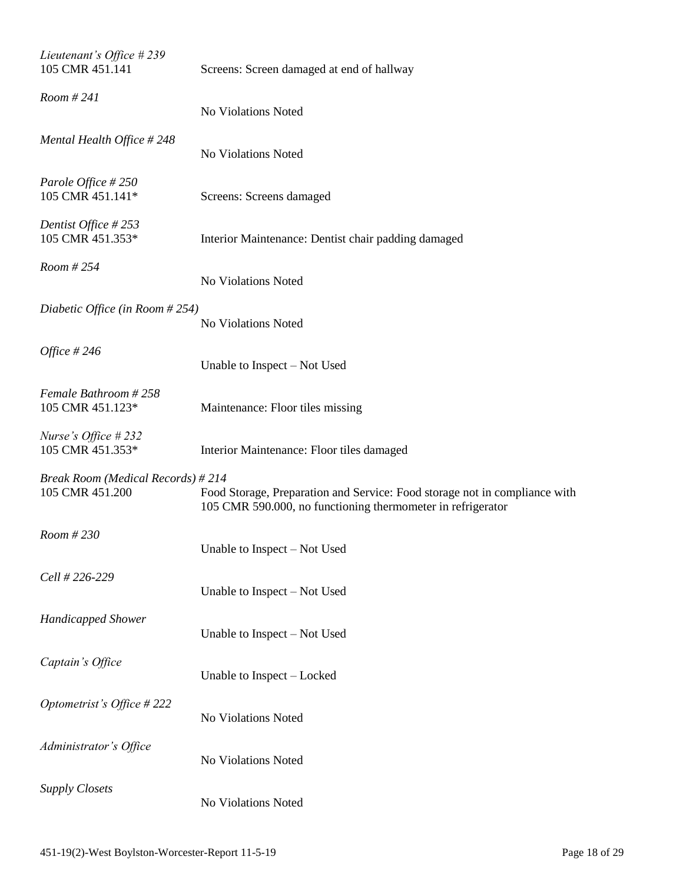| Lieutenant's Office # 239<br>105 CMR 451.141          | Screens: Screen damaged at end of hallway                                                                                                 |
|-------------------------------------------------------|-------------------------------------------------------------------------------------------------------------------------------------------|
| Room #241                                             | No Violations Noted                                                                                                                       |
| Mental Health Office $#248$                           | No Violations Noted                                                                                                                       |
| Parole Office # 250<br>105 CMR 451.141*               | Screens: Screens damaged                                                                                                                  |
| Dentist Office #253<br>105 CMR 451.353*               | Interior Maintenance: Dentist chair padding damaged                                                                                       |
| Room #254                                             | No Violations Noted                                                                                                                       |
| Diabetic Office (in Room $\#254$ )                    | No Violations Noted                                                                                                                       |
| Office $\#246$                                        | Unable to Inspect - Not Used                                                                                                              |
| Female Bathroom #258<br>105 CMR 451.123*              | Maintenance: Floor tiles missing                                                                                                          |
| Nurse's Office $#232$<br>105 CMR 451.353*             | Interior Maintenance: Floor tiles damaged                                                                                                 |
| Break Room (Medical Records) # 214<br>105 CMR 451.200 | Food Storage, Preparation and Service: Food storage not in compliance with<br>105 CMR 590.000, no functioning thermometer in refrigerator |
| Room #230                                             | Unable to Inspect - Not Used                                                                                                              |
| Cell # 226-229                                        | Unable to Inspect - Not Used                                                                                                              |
| <b>Handicapped Shower</b>                             | Unable to Inspect - Not Used                                                                                                              |
| Captain's Office                                      | Unable to Inspect - Locked                                                                                                                |
| Optometrist's Office #222                             | No Violations Noted                                                                                                                       |
| Administrator's Office                                | No Violations Noted                                                                                                                       |
| <b>Supply Closets</b>                                 | No Violations Noted                                                                                                                       |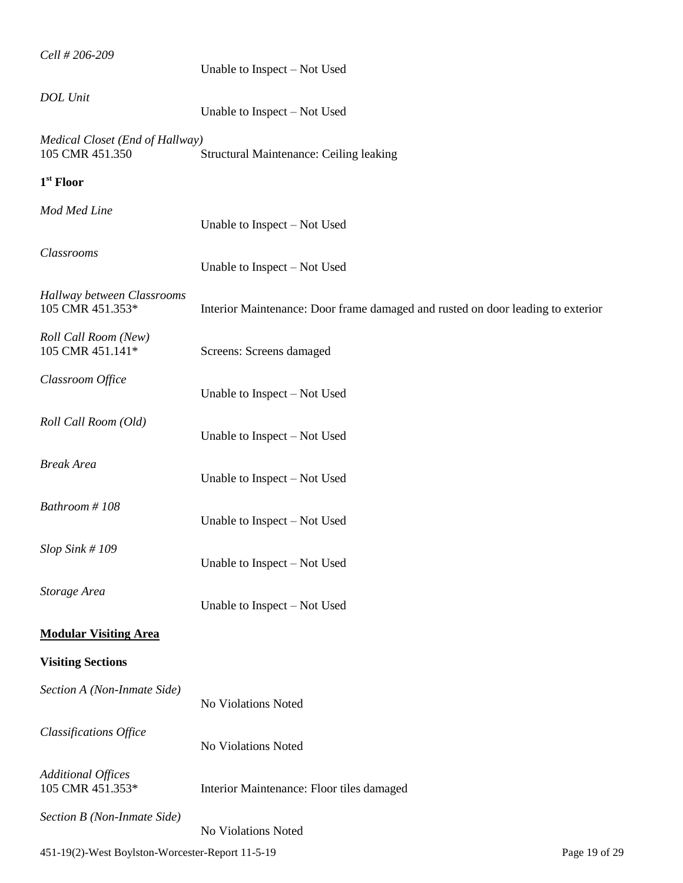| Cell # 206-209                                     | Unable to Inspect - Not Used                                                    |               |
|----------------------------------------------------|---------------------------------------------------------------------------------|---------------|
| DOL Unit                                           | Unable to Inspect – Not Used                                                    |               |
| Medical Closet (End of Hallway)<br>105 CMR 451.350 | <b>Structural Maintenance: Ceiling leaking</b>                                  |               |
| $1st$ Floor                                        |                                                                                 |               |
| Mod Med Line                                       | Unable to Inspect – Not Used                                                    |               |
| Classrooms                                         | Unable to Inspect - Not Used                                                    |               |
| Hallway between Classrooms<br>105 CMR 451.353*     | Interior Maintenance: Door frame damaged and rusted on door leading to exterior |               |
| Roll Call Room (New)<br>105 CMR 451.141*           | Screens: Screens damaged                                                        |               |
| Classroom Office                                   | Unable to Inspect – Not Used                                                    |               |
| Roll Call Room (Old)                               | Unable to Inspect - Not Used                                                    |               |
| <b>Break Area</b>                                  | Unable to Inspect – Not Used                                                    |               |
| Bathroom #108                                      | Unable to Inspect – Not Used                                                    |               |
| $Slop$ Sink # 109                                  | Unable to Inspect - Not Used                                                    |               |
| Storage Area                                       | Unable to Inspect – Not Used                                                    |               |
| <b>Modular Visiting Area</b>                       |                                                                                 |               |
| <b>Visiting Sections</b>                           |                                                                                 |               |
| Section A (Non-Inmate Side)                        | No Violations Noted                                                             |               |
| <b>Classifications Office</b>                      | No Violations Noted                                                             |               |
| <b>Additional Offices</b><br>105 CMR 451.353*      | Interior Maintenance: Floor tiles damaged                                       |               |
| Section B (Non-Inmate Side)                        | No Violations Noted                                                             |               |
| 451-19(2)-West Boylston-Worcester-Report 11-5-19   |                                                                                 | Page 19 of 29 |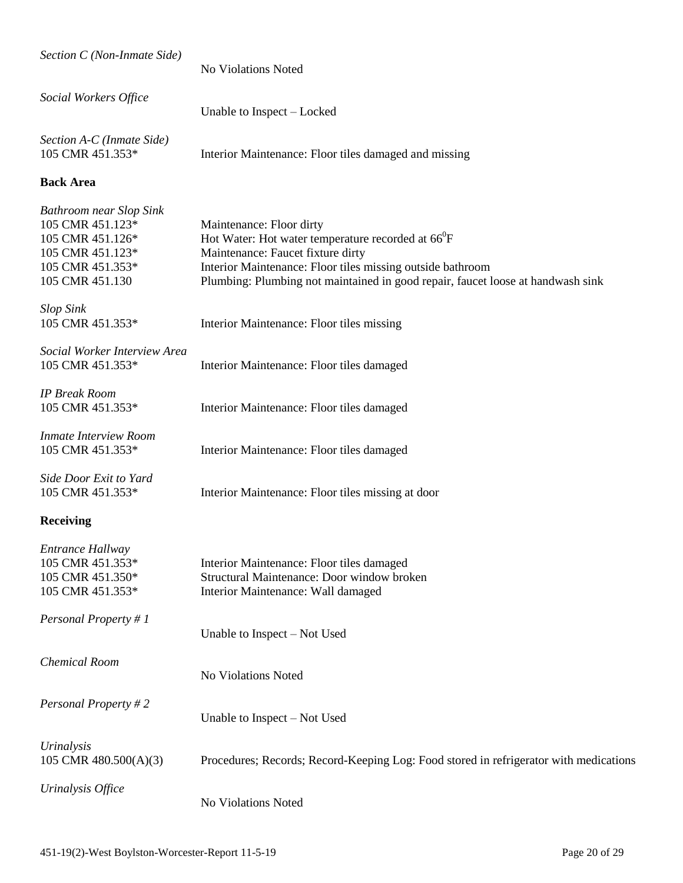| Section C (Non-Inmate Side)                                                                                                       | No Violations Noted                                                                                                                                                                                                                                                          |
|-----------------------------------------------------------------------------------------------------------------------------------|------------------------------------------------------------------------------------------------------------------------------------------------------------------------------------------------------------------------------------------------------------------------------|
| Social Workers Office                                                                                                             | Unable to Inspect – Locked                                                                                                                                                                                                                                                   |
| Section A-C (Inmate Side)<br>105 CMR 451.353*                                                                                     | Interior Maintenance: Floor tiles damaged and missing                                                                                                                                                                                                                        |
| <b>Back Area</b>                                                                                                                  |                                                                                                                                                                                                                                                                              |
| <b>Bathroom near Slop Sink</b><br>105 CMR 451.123*<br>105 CMR 451.126*<br>105 CMR 451.123*<br>105 CMR 451.353*<br>105 CMR 451.130 | Maintenance: Floor dirty<br>Hot Water: Hot water temperature recorded at $66^{\circ}F$<br>Maintenance: Faucet fixture dirty<br>Interior Maintenance: Floor tiles missing outside bathroom<br>Plumbing: Plumbing not maintained in good repair, faucet loose at handwash sink |
| <b>Slop Sink</b><br>105 CMR 451.353*                                                                                              | Interior Maintenance: Floor tiles missing                                                                                                                                                                                                                                    |
| Social Worker Interview Area<br>105 CMR 451.353*                                                                                  | Interior Maintenance: Floor tiles damaged                                                                                                                                                                                                                                    |
| <b>IP Break Room</b><br>105 CMR 451.353*                                                                                          | Interior Maintenance: Floor tiles damaged                                                                                                                                                                                                                                    |
| <b>Inmate Interview Room</b><br>105 CMR 451.353*                                                                                  | Interior Maintenance: Floor tiles damaged                                                                                                                                                                                                                                    |
| Side Door Exit to Yard<br>105 CMR 451.353*                                                                                        | Interior Maintenance: Floor tiles missing at door                                                                                                                                                                                                                            |
| <b>Receiving</b>                                                                                                                  |                                                                                                                                                                                                                                                                              |
| <b>Entrance Hallway</b><br>105 CMR 451.353*<br>105 CMR 451.350*<br>105 CMR 451.353*                                               | Interior Maintenance: Floor tiles damaged<br>Structural Maintenance: Door window broken<br>Interior Maintenance: Wall damaged                                                                                                                                                |
| Personal Property # 1                                                                                                             | Unable to Inspect – Not Used                                                                                                                                                                                                                                                 |
| <b>Chemical Room</b>                                                                                                              | No Violations Noted                                                                                                                                                                                                                                                          |
| Personal Property #2                                                                                                              | Unable to Inspect – Not Used                                                                                                                                                                                                                                                 |
| <i>Urinalysis</i><br>105 CMR 480.500(A)(3)                                                                                        | Procedures; Records; Record-Keeping Log: Food stored in refrigerator with medications                                                                                                                                                                                        |
| Urinalysis Office                                                                                                                 | No Violations Noted                                                                                                                                                                                                                                                          |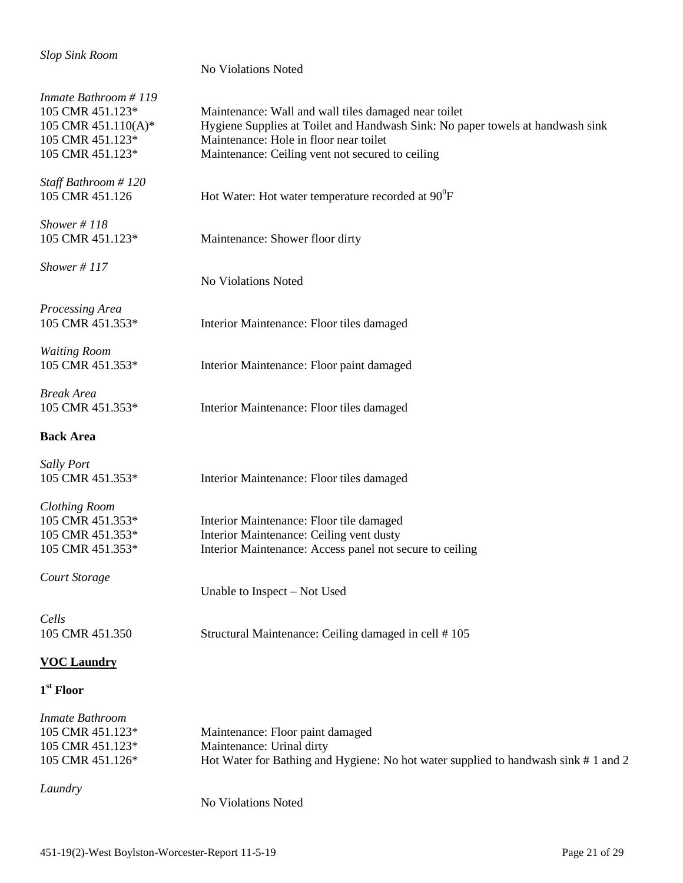No Violations Noted

| Inmate Bathroom #119<br>105 CMR 451.123*<br>105 CMR 451.110(A)*<br>105 CMR 451.123*<br>105 CMR 451.123* | Maintenance: Wall and wall tiles damaged near toilet<br>Hygiene Supplies at Toilet and Handwash Sink: No paper towels at handwash sink<br>Maintenance: Hole in floor near toilet<br>Maintenance: Ceiling vent not secured to ceiling |
|---------------------------------------------------------------------------------------------------------|--------------------------------------------------------------------------------------------------------------------------------------------------------------------------------------------------------------------------------------|
| Staff Bathroom #120<br>105 CMR 451.126                                                                  | Hot Water: Hot water temperature recorded at $90^0$ F                                                                                                                                                                                |
| Shower # $118$<br>105 CMR 451.123*                                                                      | Maintenance: Shower floor dirty                                                                                                                                                                                                      |
| Shower # $117$                                                                                          | No Violations Noted                                                                                                                                                                                                                  |
| <b>Processing Area</b><br>105 CMR 451.353*                                                              | Interior Maintenance: Floor tiles damaged                                                                                                                                                                                            |
| <b>Waiting Room</b><br>105 CMR 451.353*                                                                 | Interior Maintenance: Floor paint damaged                                                                                                                                                                                            |
| <b>Break Area</b><br>105 CMR 451.353*                                                                   | Interior Maintenance: Floor tiles damaged                                                                                                                                                                                            |
| <b>Back Area</b>                                                                                        |                                                                                                                                                                                                                                      |
| <b>Sally Port</b><br>105 CMR 451.353*                                                                   | Interior Maintenance: Floor tiles damaged                                                                                                                                                                                            |
| <b>Clothing Room</b><br>105 CMR 451.353*<br>105 CMR 451.353*<br>105 CMR 451.353*                        | Interior Maintenance: Floor tile damaged<br>Interior Maintenance: Ceiling vent dusty<br>Interior Maintenance: Access panel not secure to ceiling                                                                                     |
| Court Storage                                                                                           | Unable to Inspect – Not Used                                                                                                                                                                                                         |
| Cells<br>105 CMR 451.350                                                                                | Structural Maintenance: Ceiling damaged in cell #105                                                                                                                                                                                 |
| <b>VOC Laundry</b>                                                                                      |                                                                                                                                                                                                                                      |
| $1st$ Floor                                                                                             |                                                                                                                                                                                                                                      |
| Inmate Bathroom<br>105 CMR 451.123*<br>105 CMR 451.123*<br>105 CMR 451.126*                             | Maintenance: Floor paint damaged<br>Maintenance: Urinal dirty<br>Hot Water for Bathing and Hygiene: No hot water supplied to handwash sink #1 and 2                                                                                  |
| Laundry                                                                                                 | No Violations Noted                                                                                                                                                                                                                  |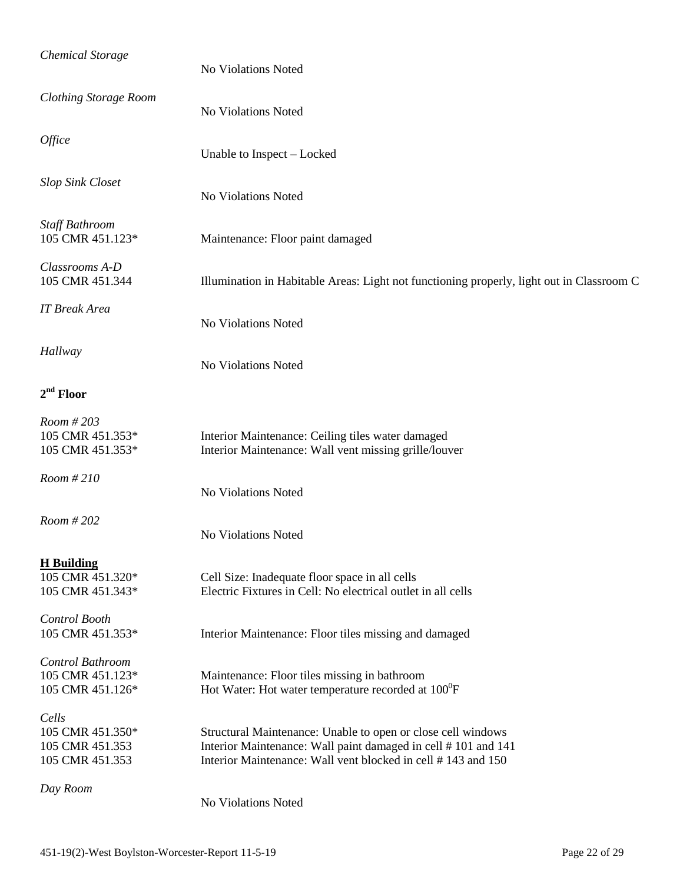| Chemical Storage                                                | No Violations Noted                                                                                                                                                                           |
|-----------------------------------------------------------------|-----------------------------------------------------------------------------------------------------------------------------------------------------------------------------------------------|
| <b>Clothing Storage Room</b>                                    | <b>No Violations Noted</b>                                                                                                                                                                    |
| Office                                                          | Unable to Inspect – Locked                                                                                                                                                                    |
| <b>Slop Sink Closet</b>                                         | No Violations Noted                                                                                                                                                                           |
| <b>Staff Bathroom</b><br>105 CMR 451.123*                       | Maintenance: Floor paint damaged                                                                                                                                                              |
| Classrooms A-D<br>105 CMR 451.344                               | Illumination in Habitable Areas: Light not functioning properly, light out in Classroom C                                                                                                     |
| <b>IT Break Area</b>                                            | No Violations Noted                                                                                                                                                                           |
| Hallway                                                         | No Violations Noted                                                                                                                                                                           |
| $2nd$ Floor                                                     |                                                                                                                                                                                               |
| Room #203<br>105 CMR 451.353*<br>105 CMR 451.353*               | Interior Maintenance: Ceiling tiles water damaged<br>Interior Maintenance: Wall vent missing grille/louver                                                                                    |
| Room #210                                                       | No Violations Noted                                                                                                                                                                           |
| Room #202                                                       | No Violations Noted                                                                                                                                                                           |
| <b>H</b> Building<br>105 CMR 451.320*<br>105 CMR 451.343*       | Cell Size: Inadequate floor space in all cells<br>Electric Fixtures in Cell: No electrical outlet in all cells                                                                                |
| Control Booth<br>105 CMR 451.353*                               | Interior Maintenance: Floor tiles missing and damaged                                                                                                                                         |
| Control Bathroom<br>105 CMR 451.123*<br>105 CMR 451.126*        | Maintenance: Floor tiles missing in bathroom<br>Hot Water: Hot water temperature recorded at $100^{\circ}$ F                                                                                  |
| Cells<br>105 CMR 451.350*<br>105 CMR 451.353<br>105 CMR 451.353 | Structural Maintenance: Unable to open or close cell windows<br>Interior Maintenance: Wall paint damaged in cell #101 and 141<br>Interior Maintenance: Wall vent blocked in cell #143 and 150 |
| Day Room                                                        | No Violations Noted                                                                                                                                                                           |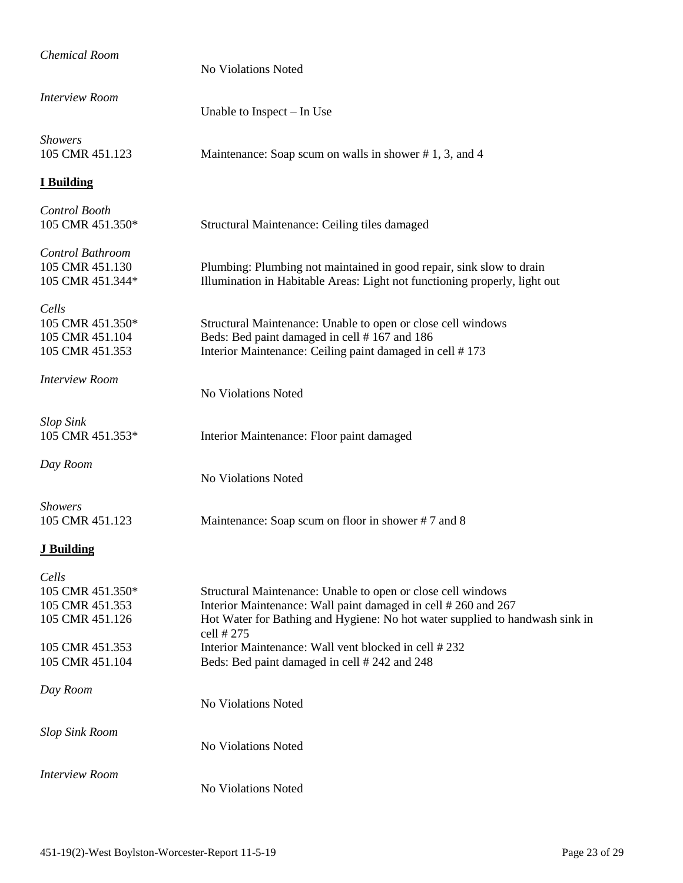| <b>Chemical Room</b>                                            | No Violations Noted                                                                                                                                                                                                         |
|-----------------------------------------------------------------|-----------------------------------------------------------------------------------------------------------------------------------------------------------------------------------------------------------------------------|
| <b>Interview Room</b>                                           | Unable to Inspect $-$ In Use                                                                                                                                                                                                |
| <b>Showers</b><br>105 CMR 451.123                               | Maintenance: Soap scum on walls in shower #1, 3, and 4                                                                                                                                                                      |
| <b>I</b> Building                                               |                                                                                                                                                                                                                             |
| Control Booth<br>105 CMR 451.350*                               | Structural Maintenance: Ceiling tiles damaged                                                                                                                                                                               |
| Control Bathroom<br>105 CMR 451.130<br>105 CMR 451.344*         | Plumbing: Plumbing not maintained in good repair, sink slow to drain<br>Illumination in Habitable Areas: Light not functioning properly, light out                                                                          |
| Cells<br>105 CMR 451.350*<br>105 CMR 451.104<br>105 CMR 451.353 | Structural Maintenance: Unable to open or close cell windows<br>Beds: Bed paint damaged in cell #167 and 186<br>Interior Maintenance: Ceiling paint damaged in cell #173                                                    |
| <b>Interview Room</b>                                           | No Violations Noted                                                                                                                                                                                                         |
| <b>Slop Sink</b><br>105 CMR 451.353*                            | Interior Maintenance: Floor paint damaged                                                                                                                                                                                   |
| Day Room                                                        | No Violations Noted                                                                                                                                                                                                         |
| <b>Showers</b><br>105 CMR 451.123                               | Maintenance: Soap scum on floor in shower #7 and 8                                                                                                                                                                          |
| <b>J</b> Building                                               |                                                                                                                                                                                                                             |
| Cells<br>105 CMR 451.350*<br>105 CMR 451.353<br>105 CMR 451.126 | Structural Maintenance: Unable to open or close cell windows<br>Interior Maintenance: Wall paint damaged in cell #260 and 267<br>Hot Water for Bathing and Hygiene: No hot water supplied to handwash sink in<br>cell # 275 |
| 105 CMR 451.353<br>105 CMR 451.104                              | Interior Maintenance: Wall vent blocked in cell #232<br>Beds: Bed paint damaged in cell #242 and 248                                                                                                                        |
| Day Room                                                        | No Violations Noted                                                                                                                                                                                                         |
| <b>Slop Sink Room</b>                                           | No Violations Noted                                                                                                                                                                                                         |
| <b>Interview Room</b>                                           | No Violations Noted                                                                                                                                                                                                         |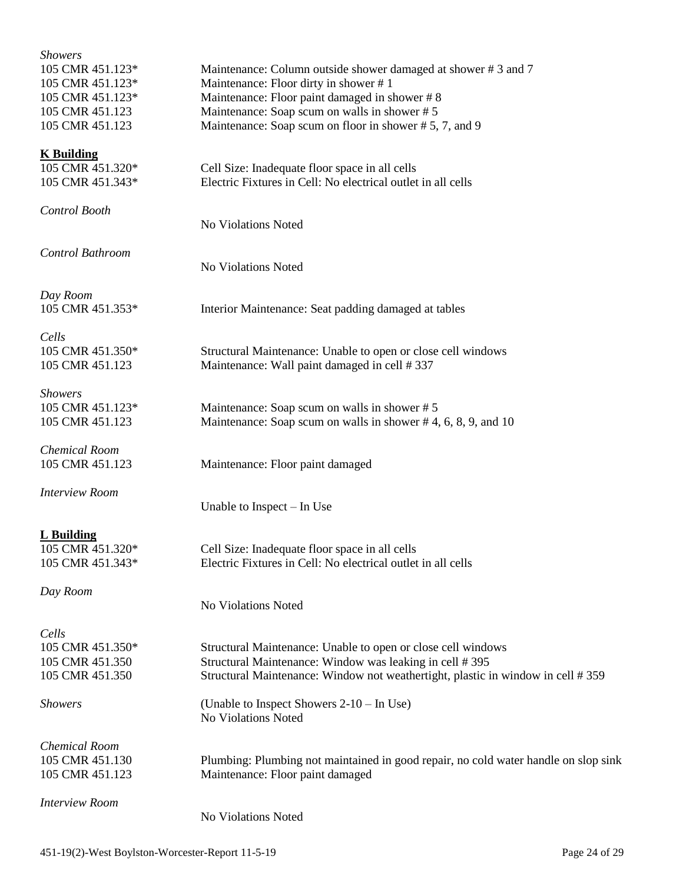| <b>Showers</b><br>105 CMR 451.123*<br>105 CMR 451.123*<br>105 CMR 451.123*<br>105 CMR 451.123<br>105 CMR 451.123 | Maintenance: Column outside shower damaged at shower #3 and 7<br>Maintenance: Floor dirty in shower #1<br>Maintenance: Floor paint damaged in shower #8<br>Maintenance: Soap scum on walls in shower #5<br>Maintenance: Soap scum on floor in shower #5, 7, and 9 |
|------------------------------------------------------------------------------------------------------------------|-------------------------------------------------------------------------------------------------------------------------------------------------------------------------------------------------------------------------------------------------------------------|
| <b>K</b> Building<br>105 CMR 451.320*<br>105 CMR 451.343*                                                        | Cell Size: Inadequate floor space in all cells<br>Electric Fixtures in Cell: No electrical outlet in all cells                                                                                                                                                    |
| Control Booth                                                                                                    | No Violations Noted                                                                                                                                                                                                                                               |
| Control Bathroom                                                                                                 | No Violations Noted                                                                                                                                                                                                                                               |
| Day Room<br>105 CMR 451.353*                                                                                     | Interior Maintenance: Seat padding damaged at tables                                                                                                                                                                                                              |
| Cells<br>105 CMR 451.350*<br>105 CMR 451.123                                                                     | Structural Maintenance: Unable to open or close cell windows<br>Maintenance: Wall paint damaged in cell #337                                                                                                                                                      |
| <b>Showers</b><br>105 CMR 451.123*<br>105 CMR 451.123                                                            | Maintenance: Soap scum on walls in shower #5<br>Maintenance: Soap scum on walls in shower #4, 6, 8, 9, and 10                                                                                                                                                     |
| <b>Chemical Room</b><br>105 CMR 451.123                                                                          | Maintenance: Floor paint damaged                                                                                                                                                                                                                                  |
| <b>Interview Room</b>                                                                                            | Unable to Inspect – In Use                                                                                                                                                                                                                                        |
| L Building<br>105 CMR 451.320*<br>105 CMR 451.343*                                                               | Cell Size: Inadequate floor space in all cells<br>Electric Fixtures in Cell: No electrical outlet in all cells                                                                                                                                                    |
| Day Room                                                                                                         | No Violations Noted                                                                                                                                                                                                                                               |
| Cells<br>105 CMR 451.350*<br>105 CMR 451.350<br>105 CMR 451.350                                                  | Structural Maintenance: Unable to open or close cell windows<br>Structural Maintenance: Window was leaking in cell #395<br>Structural Maintenance: Window not weathertight, plastic in window in cell #359                                                        |
| <b>Showers</b>                                                                                                   | (Unable to Inspect Showers 2-10 – In Use)<br>No Violations Noted                                                                                                                                                                                                  |
| <b>Chemical Room</b><br>105 CMR 451.130<br>105 CMR 451.123                                                       | Plumbing: Plumbing not maintained in good repair, no cold water handle on slop sink<br>Maintenance: Floor paint damaged                                                                                                                                           |
| <b>Interview Room</b>                                                                                            |                                                                                                                                                                                                                                                                   |

No Violations Noted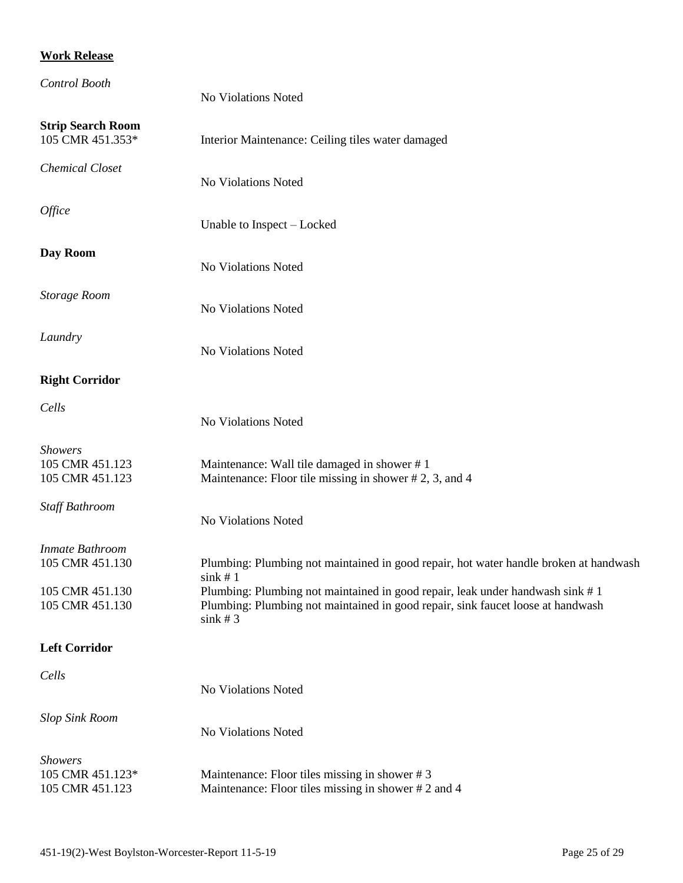# **Work Release**

| Control Booth                                         | No Violations Noted                                                                                                                                                                 |
|-------------------------------------------------------|-------------------------------------------------------------------------------------------------------------------------------------------------------------------------------------|
| <b>Strip Search Room</b><br>105 CMR 451.353*          | Interior Maintenance: Ceiling tiles water damaged                                                                                                                                   |
| <b>Chemical Closet</b>                                | No Violations Noted                                                                                                                                                                 |
| Office                                                | Unable to Inspect - Locked                                                                                                                                                          |
| Day Room                                              | No Violations Noted                                                                                                                                                                 |
| <b>Storage Room</b>                                   | No Violations Noted                                                                                                                                                                 |
| Laundry                                               | No Violations Noted                                                                                                                                                                 |
| <b>Right Corridor</b>                                 |                                                                                                                                                                                     |
| Cells                                                 | No Violations Noted                                                                                                                                                                 |
| <b>Showers</b><br>105 CMR 451.123<br>105 CMR 451.123  | Maintenance: Wall tile damaged in shower #1<br>Maintenance: Floor tile missing in shower $#2, 3$ , and 4                                                                            |
| Staff Bathroom                                        | No Violations Noted                                                                                                                                                                 |
| Inmate Bathroom<br>105 CMR 451.130                    | Plumbing: Plumbing not maintained in good repair, hot water handle broken at handwash<br>sink $#1$                                                                                  |
| 105 CMR 451.130<br>105 CMR 451.130                    | Plumbing: Plumbing not maintained in good repair, leak under handwash sink #1<br>Plumbing: Plumbing not maintained in good repair, sink faucet loose at handwash<br>$\sin k \neq 3$ |
| <b>Left Corridor</b>                                  |                                                                                                                                                                                     |
| Cells                                                 | No Violations Noted                                                                                                                                                                 |
| <b>Slop Sink Room</b>                                 | No Violations Noted                                                                                                                                                                 |
| <b>Showers</b><br>105 CMR 451.123*<br>105 CMR 451.123 | Maintenance: Floor tiles missing in shower #3<br>Maintenance: Floor tiles missing in shower #2 and 4                                                                                |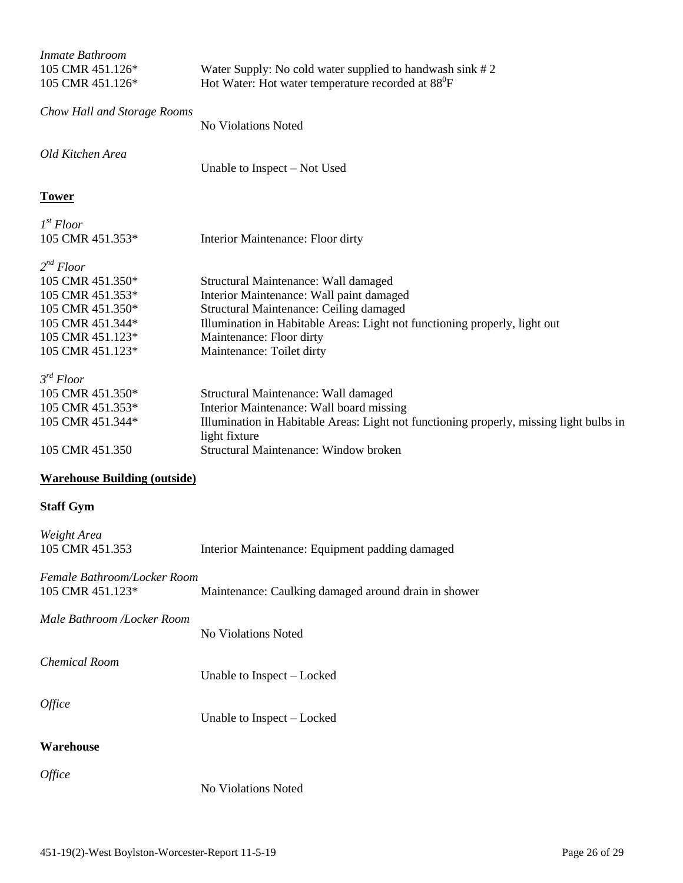| Inmate Bathroom<br>105 CMR 451.126*<br>105 CMR 451.126*                                                                                | Water Supply: No cold water supplied to handwash sink $#2$<br>Hot Water: Hot water temperature recorded at 88 <sup>0</sup> F                                                                                                                                       |
|----------------------------------------------------------------------------------------------------------------------------------------|--------------------------------------------------------------------------------------------------------------------------------------------------------------------------------------------------------------------------------------------------------------------|
| Chow Hall and Storage Rooms                                                                                                            | No Violations Noted                                                                                                                                                                                                                                                |
| Old Kitchen Area                                                                                                                       | Unable to Inspect – Not Used                                                                                                                                                                                                                                       |
| <b>Tower</b>                                                                                                                           |                                                                                                                                                                                                                                                                    |
| I <sup>st</sup> Floor<br>105 CMR 451.353*                                                                                              | Interior Maintenance: Floor dirty                                                                                                                                                                                                                                  |
| $2^{nd}$ Floor<br>105 CMR 451.350*<br>105 CMR 451.353*<br>105 CMR 451.350*<br>105 CMR 451.344*<br>105 CMR 451.123*<br>105 CMR 451.123* | Structural Maintenance: Wall damaged<br>Interior Maintenance: Wall paint damaged<br>Structural Maintenance: Ceiling damaged<br>Illumination in Habitable Areas: Light not functioning properly, light out<br>Maintenance: Floor dirty<br>Maintenance: Toilet dirty |
| $3^{rd}$ Floor<br>105 CMR 451.350*<br>105 CMR 451.353*<br>105 CMR 451.344*<br>105 CMR 451.350                                          | Structural Maintenance: Wall damaged<br>Interior Maintenance: Wall board missing<br>Illumination in Habitable Areas: Light not functioning properly, missing light bulbs in<br>light fixture<br>Structural Maintenance: Window broken                              |
| <b>Warehouse Building (outside)</b>                                                                                                    |                                                                                                                                                                                                                                                                    |
| <b>Staff Gym</b>                                                                                                                       |                                                                                                                                                                                                                                                                    |
| Weight Area<br>105 CMR 451.353                                                                                                         | Interior Maintenance: Equipment padding damaged                                                                                                                                                                                                                    |
| Female Bathroom/Locker Room<br>105 CMR 451.123*                                                                                        | Maintenance: Caulking damaged around drain in shower                                                                                                                                                                                                               |
| Male Bathroom /Locker Room                                                                                                             | No Violations Noted                                                                                                                                                                                                                                                |
| <b>Chemical Room</b>                                                                                                                   | Unable to Inspect - Locked                                                                                                                                                                                                                                         |
| Office                                                                                                                                 | Unable to Inspect - Locked                                                                                                                                                                                                                                         |
| Warehouse                                                                                                                              |                                                                                                                                                                                                                                                                    |
| Office                                                                                                                                 | No Violations Noted                                                                                                                                                                                                                                                |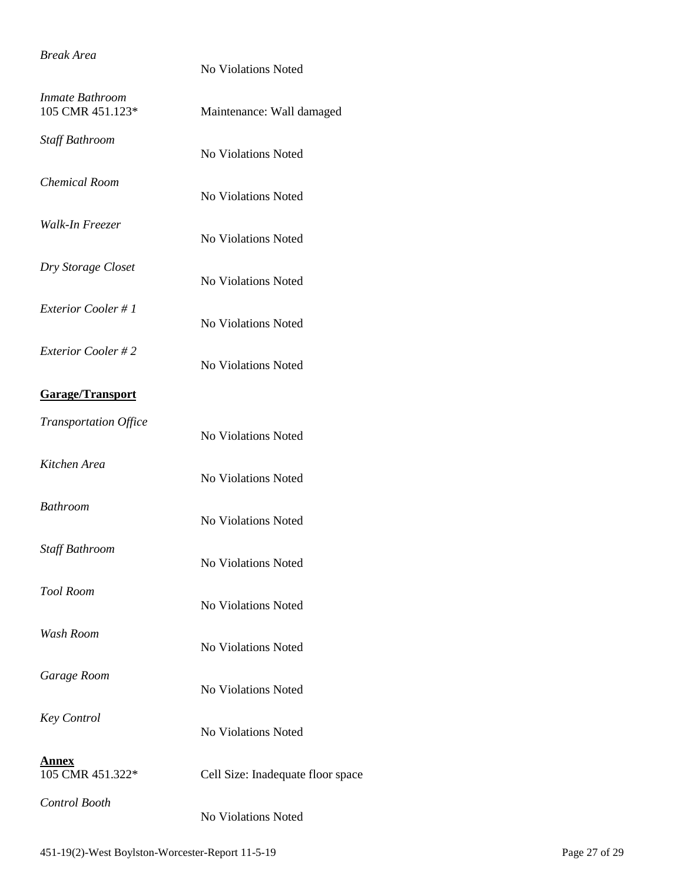### *Break Area*

|                                     | <b>No Violations Noted</b>        |
|-------------------------------------|-----------------------------------|
| Inmate Bathroom<br>105 CMR 451.123* | Maintenance: Wall damaged         |
| Staff Bathroom                      | <b>No Violations Noted</b>        |
| <b>Chemical Room</b>                | <b>No Violations Noted</b>        |
| Walk-In Freezer                     | <b>No Violations Noted</b>        |
| Dry Storage Closet                  | <b>No Violations Noted</b>        |
| <b>Exterior Cooler#1</b>            | <b>No Violations Noted</b>        |
| <i>Exterior Cooler</i> #2           | No Violations Noted               |
| <b>Garage/Transport</b>             |                                   |
| <b>Transportation Office</b>        | <b>No Violations Noted</b>        |
| Kitchen Area                        | <b>No Violations Noted</b>        |
| <b>Bathroom</b>                     | <b>No Violations Noted</b>        |
| Staff Bathroom                      | No Violations Noted               |
| <b>Tool Room</b>                    | <b>No Violations Noted</b>        |
| Wash Room                           | <b>No Violations Noted</b>        |
| Garage Room                         | <b>No Violations Noted</b>        |
| <b>Key Control</b>                  | <b>No Violations Noted</b>        |
| Annex<br>105 CMR 451.322*           | Cell Size: Inadequate floor space |
| Control Booth                       | <b>No Violations Noted</b>        |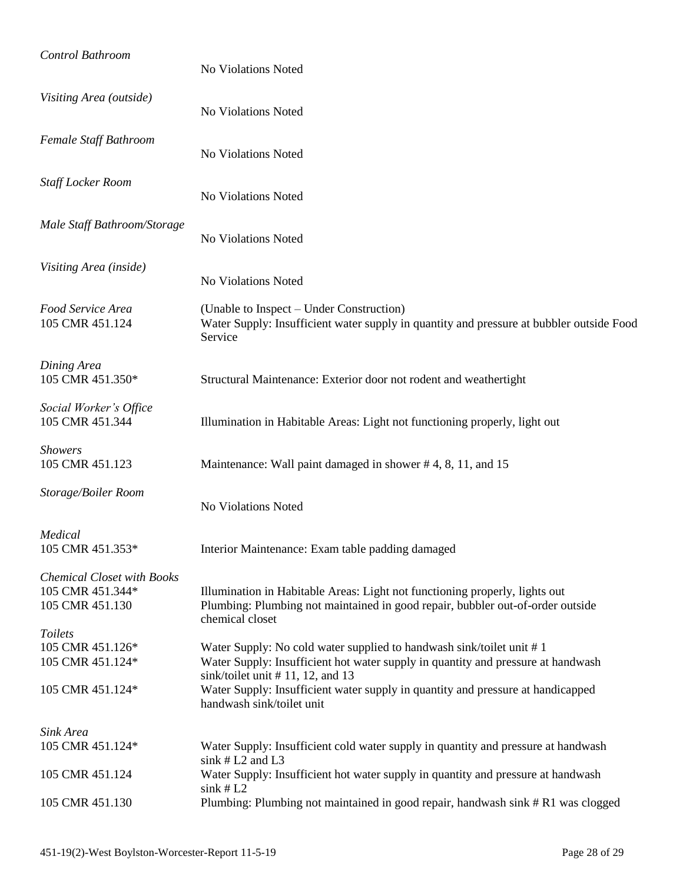| Control Bathroom                                                         | No Violations Noted                                                                                                                                                              |
|--------------------------------------------------------------------------|----------------------------------------------------------------------------------------------------------------------------------------------------------------------------------|
| Visiting Area (outside)                                                  | <b>No Violations Noted</b>                                                                                                                                                       |
| Female Staff Bathroom                                                    | No Violations Noted                                                                                                                                                              |
| Staff Locker Room                                                        | No Violations Noted                                                                                                                                                              |
| Male Staff Bathroom/Storage                                              | No Violations Noted                                                                                                                                                              |
| Visiting Area (inside)                                                   | No Violations Noted                                                                                                                                                              |
| Food Service Area<br>105 CMR 451.124                                     | (Unable to Inspect – Under Construction)<br>Water Supply: Insufficient water supply in quantity and pressure at bubbler outside Food<br>Service                                  |
| Dining Area<br>105 CMR 451.350*                                          | Structural Maintenance: Exterior door not rodent and weathertight                                                                                                                |
| Social Worker's Office<br>105 CMR 451.344                                | Illumination in Habitable Areas: Light not functioning properly, light out                                                                                                       |
| <b>Showers</b><br>105 CMR 451.123                                        | Maintenance: Wall paint damaged in shower #4, 8, 11, and 15                                                                                                                      |
| Storage/Boiler Room                                                      | No Violations Noted                                                                                                                                                              |
| Medical<br>105 CMR 451.353*                                              | Interior Maintenance: Exam table padding damaged                                                                                                                                 |
| <b>Chemical Closet with Books</b><br>105 CMR 451.344*<br>105 CMR 451.130 | Illumination in Habitable Areas: Light not functioning properly, lights out<br>Plumbing: Plumbing not maintained in good repair, bubbler out-of-order outside<br>chemical closet |
| Toilets<br>105 CMR 451.126*                                              | Water Supply: No cold water supplied to handwash sink/toilet unit #1                                                                                                             |
| 105 CMR 451.124*                                                         | Water Supply: Insufficient hot water supply in quantity and pressure at handwash<br>sink/toilet unit $# 11$ , 12, and 13                                                         |
| 105 CMR 451.124*                                                         | Water Supply: Insufficient water supply in quantity and pressure at handicapped<br>handwash sink/toilet unit                                                                     |
| Sink Area<br>105 CMR 451.124*                                            | Water Supply: Insufficient cold water supply in quantity and pressure at handwash                                                                                                |
|                                                                          | $sink$ # L2 and L3                                                                                                                                                               |
| 105 CMR 451.124                                                          | Water Supply: Insufficient hot water supply in quantity and pressure at handwash<br>$\sin k \# L2$                                                                               |
| 105 CMR 451.130                                                          | Plumbing: Plumbing not maintained in good repair, handwash sink #R1 was clogged                                                                                                  |